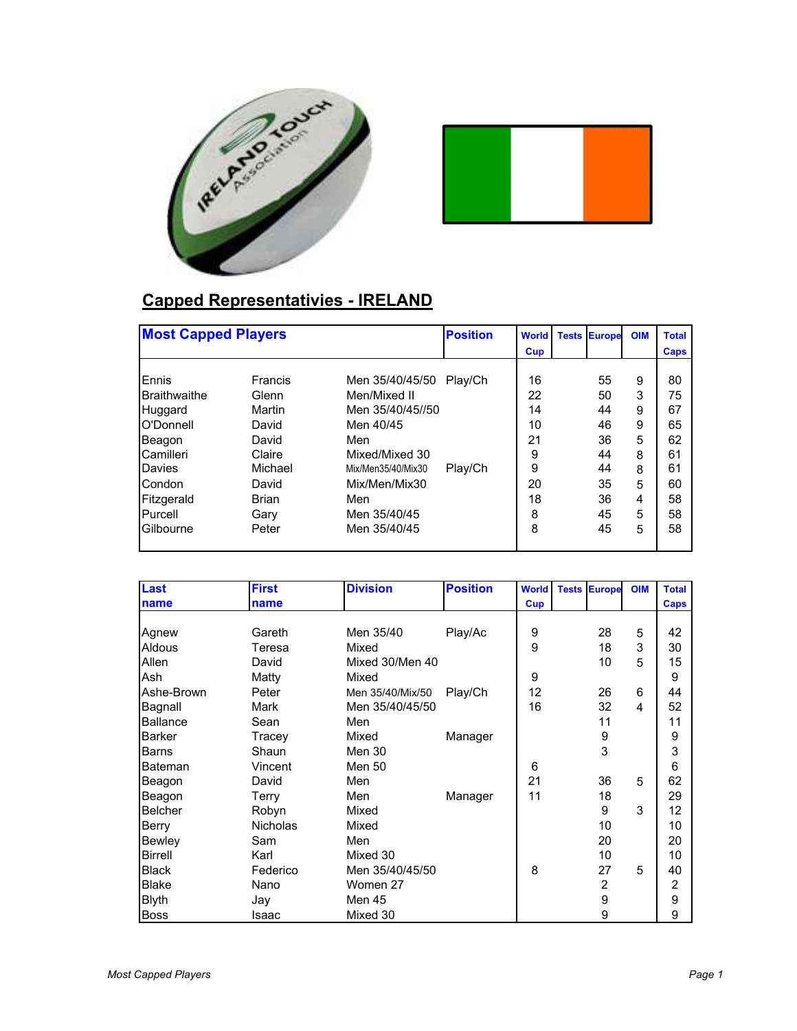



## **Capped Representativies - IRELAND**

|                     | <b>Most Capped Players</b> |                    | <b>Position</b> | <b>World</b> | <b>Tests</b> | <b>Europe</b> | <b>OIM</b> | <b>Total</b> |
|---------------------|----------------------------|--------------------|-----------------|--------------|--------------|---------------|------------|--------------|
|                     |                            |                    |                 | Cup          |              |               |            | <b>Caps</b>  |
|                     |                            |                    |                 |              |              |               |            |              |
| Ennis               | Francis                    | Men 35/40/45/50    | Play/Ch         | 16           |              | 55            | 9          | 80           |
| <b>Braithwaithe</b> | Glenn                      | Men/Mixed II       |                 | 22           |              | 50            | 3          | 75           |
| Huggard             | Martin                     | Men 35/40/45//50   |                 | 14           |              | 44            | 9          | 67           |
| O'Donnell           | David                      | Men 40/45          |                 | 10           |              | 46            | 9          | 65           |
| Beagon              | David                      | Men                |                 | 21           |              | 36            | 5          | 62           |
| Camilleri           | Claire                     | Mixed/Mixed 30     |                 | 9            |              | 44            | 8          | 61           |
| Davies              | Michael                    | Mix/Men35/40/Mix30 | Play/Ch         | 9            |              | 44            | 8          | 61           |
| Condon              | David                      | Mix/Men/Mix30      |                 | 20           |              | 35            | 5          | 60           |
| Fitzgerald          | <b>Brian</b>               | Men                |                 | 18           |              | 36            | 4          | 58           |
| Purcell             | Gary                       | Men 35/40/45       |                 | 8            |              | 45            | 5          | 58           |
| Gilbourne           | Peter                      | Men 35/40/45       |                 | 8            |              | 45            | 5          | 58           |
|                     |                            |                    |                 |              |              |               |            |              |

| Last            | <b>First</b>    | <b>Division</b>  | <b>Position</b> | <b>World</b> | <b>Tests Europe</b> | <b>OIM</b> | <b>Total</b>      |
|-----------------|-----------------|------------------|-----------------|--------------|---------------------|------------|-------------------|
| name            | name            |                  |                 | <b>Cup</b>   |                     |            | <b>Caps</b>       |
|                 |                 |                  |                 |              |                     |            |                   |
| Agnew           | Gareth          | Men 35/40        | Play/Ac         | 9            | 28                  | 5          | 42                |
| <b>Aldous</b>   | Teresa          | Mixed            |                 | 9            | 18                  | 3          | 30                |
| Allen           | David           | Mixed 30/Men 40  |                 |              | 10                  | 5          | 15                |
| Ash             | Matty           | Mixed            |                 | 9            |                     |            | 9                 |
| Ashe-Brown      | Peter           | Men 35/40/Mix/50 | Play/Ch         | 12           | 26                  | 6          | 44                |
| Bagnall         | Mark            | Men 35/40/45/50  |                 | 16           | 32                  | 4          | 52                |
| <b>Ballance</b> | Sean            | Men              |                 |              | 11                  |            | 11                |
| <b>Barker</b>   | Tracey          | Mixed            | Manager         |              | 9                   |            | 9                 |
| Barns           | Shaun           | Men 30           |                 |              | 3                   |            | 3                 |
| Bateman         | Vincent         | Men 50           |                 | 6            |                     |            | $6\phantom{1}6$   |
| Beagon          | David           | Men              |                 | 21           | 36                  | 5          | 62                |
| Beagon          | Terry           | Men              | Manager         | 11           | 18                  |            | 29                |
| <b>Belcher</b>  | Robyn           | Mixed            |                 |              | 9                   | 3          | $12 \overline{ }$ |
| Berry           | <b>Nicholas</b> | Mixed            |                 |              | 10                  |            | 10                |
| Bewley          | Sam             | Men              |                 |              | 20                  |            | 20                |
| <b>Birrell</b>  | Karl            | Mixed 30         |                 |              | 10                  |            | 10                |
| <b>Black</b>    | Federico        | Men 35/40/45/50  |                 | 8            | 27                  | 5          | 40                |
| <b>Blake</b>    | Nano            | Women 27         |                 |              | $\overline{2}$      |            | 2                 |
| <b>Blyth</b>    | Jay             | <b>Men 45</b>    |                 |              | 9                   |            | 9                 |
| <b>Boss</b>     | Isaac           | Mixed 30         |                 |              | 9                   |            | 9                 |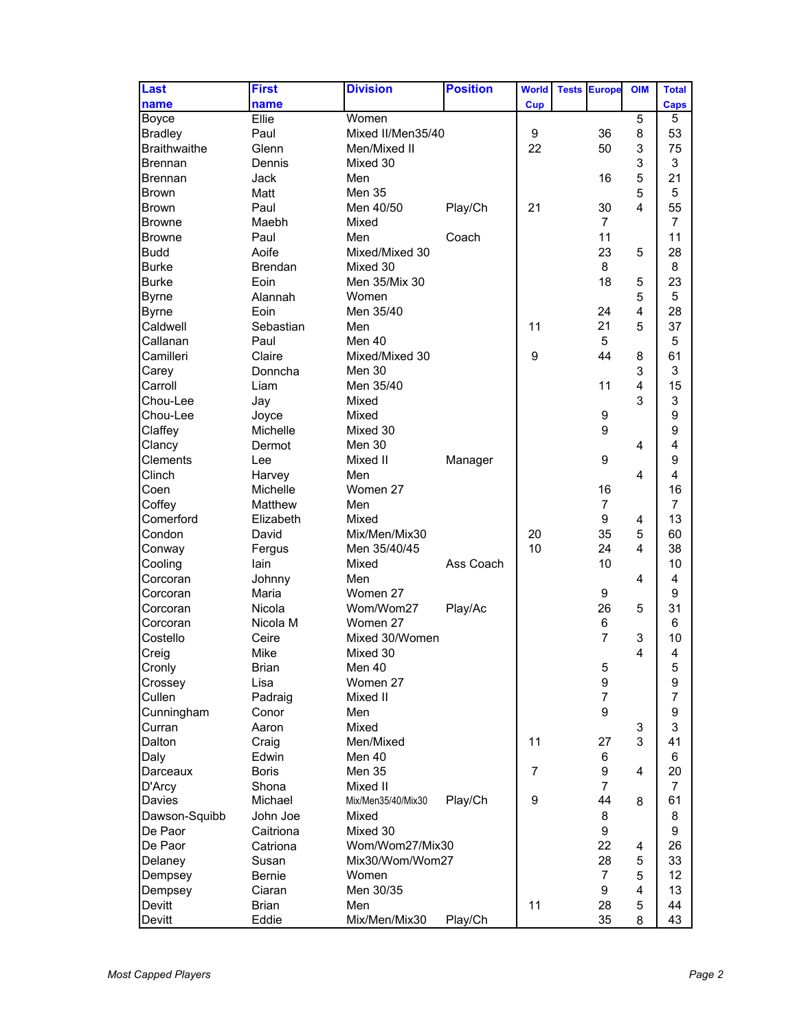| Last                    | <b>First</b>     | <b>Division</b>     | <b>Position</b> | <b>World</b>     | <b>Tests</b> | <b>Europe</b>  | <b>OIM</b>     | <b>Total</b>     |
|-------------------------|------------------|---------------------|-----------------|------------------|--------------|----------------|----------------|------------------|
| name                    | name             |                     |                 | <b>Cup</b>       |              |                |                | <b>Caps</b>      |
| <b>Boyce</b>            | Ellie            | Women               |                 |                  |              |                | 5              | 5                |
| <b>Bradley</b>          | Paul             | Mixed II/Men35/40   |                 | 9                |              | 36             | 8              | 53               |
| Braithwaithe            | Glenn            | Men/Mixed II        |                 | 22               |              | 50             | 3              | 75               |
| <b>Brennan</b>          | Dennis           | Mixed 30            |                 |                  |              |                | 3              | 3                |
| <b>Brennan</b>          | Jack             | Men                 |                 |                  |              | 16             | 5              | 21               |
| <b>Brown</b>            | Matt             | Men 35              |                 |                  |              |                | 5              | 5                |
| <b>Brown</b>            | Paul             | Men 40/50           | Play/Ch         | 21               |              | 30             | 4              | 55               |
|                         |                  |                     |                 |                  |              |                |                |                  |
| <b>Browne</b>           | Maebh            | Mixed               |                 |                  |              | $\overline{7}$ |                | 7                |
| <b>Browne</b>           | Paul             | Men                 | Coach           |                  |              | 11             |                | 11               |
| <b>Budd</b>             | Aoife            | Mixed/Mixed 30      |                 |                  |              | 23             | 5              | 28               |
| <b>Burke</b>            | <b>Brendan</b>   | Mixed 30            |                 |                  |              | 8              |                | 8                |
| <b>Burke</b>            | Eoin             | Men 35/Mix 30       |                 |                  |              | 18             | 5              | 23               |
| <b>Byrne</b>            | Alannah          | Women               |                 |                  |              |                | 5              | 5                |
| <b>Byrne</b>            | Eoin             | Men 35/40           |                 |                  |              | 24             | 4              | 28               |
| Caldwell                | Sebastian        | Men                 |                 | 11               |              | 21             | 5              | 37               |
| Callanan                | Paul             | Men 40              |                 |                  |              | 5              |                | 5                |
| Camilleri               | Claire           | Mixed/Mixed 30      |                 | 9                |              | 44             | 8              | 61               |
| Carey                   | Donncha          | Men 30              |                 |                  |              |                | 3              | 3                |
| Carroll                 | Liam             | Men 35/40           |                 |                  |              | 11             | 4              | 15               |
| Chou-Lee                | Jay              | Mixed               |                 |                  |              |                | 3              | 3                |
| Chou-Lee                | Joyce            | Mixed               |                 |                  |              | 9              |                | 9                |
| Claffey                 | Michelle         | Mixed 30            |                 |                  |              | 9              |                | 9                |
| Clancy                  | Dermot           | Men 30              |                 |                  |              |                | $\overline{4}$ | 4                |
| Clements                | Lee              | Mixed II            | Manager         |                  |              | 9              |                | 9                |
| Clinch                  | Harvey           | Men                 |                 |                  |              |                | 4              | 4                |
| Coen                    | Michelle         | Women 27            |                 |                  |              | 16             |                | 16               |
| Coffey                  | Matthew          | Men                 |                 |                  |              | $\overline{7}$ |                | $\overline{7}$   |
| Comerford               | Elizabeth        | Mixed               |                 |                  |              | 9              | 4              | 13               |
| Condon                  | David            | Mix/Men/Mix30       |                 | 20               |              | 35             | 5              | 60               |
| Conway                  | Fergus           | Men 35/40/45        |                 | 10               |              | 24             | 4              | 38               |
| Cooling                 | lain             | Mixed               | Ass Coach       |                  |              | 10             |                | 10               |
| Corcoran                | Johnny           | Men                 |                 |                  |              |                | 4              | 4                |
| Corcoran                | Maria            | Women 27            |                 |                  |              | 9              |                | 9                |
| Corcoran                | Nicola           | Wom/Wom27           | Play/Ac         |                  |              | 26             | 5              | 31               |
| Corcoran                | Nicola M         | Women 27            |                 |                  |              | 6              |                | 6                |
| Costello                | Ceire            | Mixed 30/Women      |                 |                  |              | $\overline{7}$ | 3              | 10               |
| Creig                   | Mike             | Mixed 30            |                 |                  |              |                | 4              | 4                |
| Cronly                  | <b>Brian</b>     | Men 40              |                 |                  |              | 5              |                |                  |
| Crossey                 | Lisa             | Women 27            |                 |                  |              | 9              |                | 5<br>9           |
| Cullen                  | Padraig          | Mixed II            |                 |                  |              | $\overline{7}$ |                | $\overline{7}$   |
| Cunningham              | Conor            | Men                 |                 |                  |              | 9              |                | $\boldsymbol{9}$ |
| Curran                  | Aaron            | Mixed               |                 |                  |              |                | 3              | 3                |
| Dalton                  |                  |                     |                 | 11               |              |                | 3              | 41               |
| Daly                    | Craig<br>Edwin   | Men/Mixed<br>Men 40 |                 |                  |              | 27             |                | 6                |
|                         |                  | <b>Men 35</b>       |                 | $\overline{7}$   |              | 6              | 4              | 20               |
| Darceaux                | Boris            |                     |                 |                  |              | 9              |                |                  |
| D'Arcy<br><b>Davies</b> | Shona<br>Michael | Mixed II            |                 | $\boldsymbol{9}$ |              | 7<br>44        |                | 7<br>61          |
|                         |                  | Mix/Men35/40/Mix30  | Play/Ch         |                  |              |                | 8              |                  |
| Dawson-Squibb           | John Joe         | Mixed               |                 |                  |              | 8              |                | 8                |
| De Paor                 | Caitriona        | Mixed 30            |                 |                  |              | 9              |                | 9                |
| De Paor                 | Catriona         | Wom/Wom27/Mix30     |                 |                  |              | 22             | 4              | 26               |
| Delaney                 | Susan            | Mix30/Wom/Wom27     |                 |                  |              | 28             | 5              | 33               |
| Dempsey                 | Bernie           | Women               |                 |                  |              | $\overline{7}$ | 5              | 12               |
| Dempsey                 | Ciaran           | Men 30/35           |                 |                  |              | 9              | 4              | 13               |
| Devitt                  | <b>Brian</b>     | Men                 |                 | 11               |              | 28             | 5              | 44               |
| Devitt                  | Eddie            | Mix/Men/Mix30       | Play/Ch         |                  |              | 35             | 8              | 43               |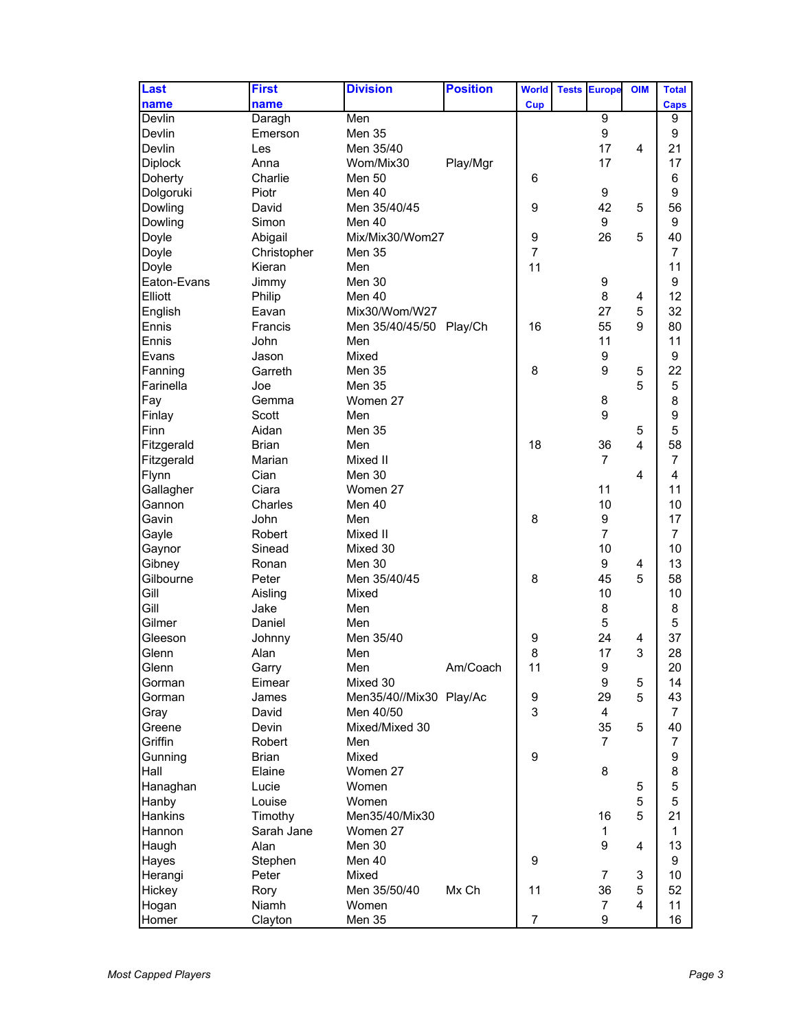| Last           | <b>First</b> | <b>Division</b>         | <b>Position</b> | <b>World</b>     | <b>Tests</b> | <b>Europe</b>    | <b>OIM</b>              | <b>Total</b>   |
|----------------|--------------|-------------------------|-----------------|------------------|--------------|------------------|-------------------------|----------------|
| name           | name         |                         |                 | <b>Cup</b>       |              |                  |                         | <b>Caps</b>    |
| Devlin         | Daragh       | Men                     |                 |                  |              | $\overline{9}$   |                         | 9              |
| Devlin         | Emerson      | Men 35                  |                 |                  |              | 9                |                         | 9              |
| Devlin         | Les          | Men 35/40               |                 |                  |              | 17               | 4                       | 21             |
| <b>Diplock</b> | Anna         | Wom/Mix30               | Play/Mgr        |                  |              | 17               |                         | 17             |
| Doherty        | Charlie      | <b>Men 50</b>           |                 | 6                |              |                  |                         | 6              |
| Dolgoruki      | Piotr        | Men 40                  |                 |                  |              | 9                |                         | 9              |
| Dowling        | David        | Men 35/40/45            |                 | 9                |              | 42               | 5                       | 56             |
| Dowling        | Simon        | Men 40                  |                 |                  |              | 9                |                         | 9              |
| Doyle          | Abigail      | Mix/Mix30/Wom27         |                 | 9                |              | 26               | 5                       | 40             |
| Doyle          | Christopher  | Men 35                  |                 | $\overline{7}$   |              |                  |                         | 7              |
| Doyle          | Kieran       | Men                     |                 | 11               |              |                  |                         | 11             |
| Eaton-Evans    | Jimmy        | Men 30                  |                 |                  |              | $\boldsymbol{9}$ |                         | 9              |
| Elliott        | Philip       | Men 40                  |                 |                  |              | 8                | 4                       | 12             |
| English        | Eavan        | Mix30/Wom/W27           |                 |                  |              | 27               | 5                       | 32             |
| Ennis          | Francis      | Men 35/40/45/50 Play/Ch |                 | 16               |              | 55               | 9                       | 80             |
| Ennis          | John         | Men                     |                 |                  |              | 11               |                         | 11             |
| <b>IEvans</b>  | Jason        | Mixed                   |                 |                  |              | 9                |                         | 9              |
| Fanning        | Garreth      | <b>Men 35</b>           |                 | 8                |              | 9                | 5                       | 22             |
| Farinella      | Joe          | Men 35                  |                 |                  |              |                  | 5                       | 5              |
| Fay            | Gemma        | Women 27                |                 |                  |              | 8                |                         | 8              |
| Finlay         | Scott        | Men                     |                 |                  |              | 9                |                         | 9              |
| Finn           | Aidan        | <b>Men 35</b>           |                 |                  |              |                  | 5                       | 5              |
| Fitzgerald     | Brian        | Men                     |                 | 18               |              | 36               | $\overline{\mathbf{4}}$ | 58             |
| Fitzgerald     | Marian       | Mixed II                |                 |                  |              | 7                |                         | 7              |
| Flynn          | Cian         | Men 30                  |                 |                  |              |                  | 4                       | 4              |
| Gallagher      | Ciara        | Women 27                |                 |                  |              | 11               |                         | 11             |
| Gannon         | Charles      | Men 40                  |                 |                  |              | 10               |                         | 10             |
| Gavin          | John         | Men                     |                 | 8                |              | 9                |                         | 17             |
| Gayle          | Robert       | Mixed II                |                 |                  |              | $\overline{7}$   |                         | 7              |
| Gaynor         | Sinead       | Mixed 30                |                 |                  |              | 10               |                         | 10             |
| Gibney         | Ronan        | Men 30                  |                 |                  |              | 9                | 4                       | 13             |
| Gilbourne      | Peter        | Men 35/40/45            |                 | 8                |              | 45               | 5                       | 58             |
| Gill           | Aisling      | Mixed                   |                 |                  |              | 10               |                         | 10             |
| Gill           | Jake         | Men                     |                 |                  |              | 8                |                         | 8              |
| Gilmer         | Daniel       | Men                     |                 |                  |              | 5                |                         | 5              |
| Gleeson        | Johnny       | Men 35/40               |                 | 9                |              | 24               | 4                       | 37             |
| Glenn          | Alan         | Men                     |                 | 8                |              | 17               | 3                       | 28             |
| Glenn          | Garry        | Men                     | Am/Coach        | 11               |              | 9                |                         | 20             |
| Gorman         | Eimear       | Mixed 30                |                 |                  |              | 9                | 5                       | 14             |
| Gorman         | James        | Men35/40//Mix30 Play/Ac |                 | 9                |              | 29               | 5                       | 43             |
| Gray           | David        | Men 40/50               |                 | 3                |              | $\overline{4}$   |                         | $\overline{7}$ |
| Greene         | Devin        | Mixed/Mixed 30          |                 |                  |              | 35               | 5                       | 40             |
| Griffin        | Robert       | Men                     |                 |                  |              | $\overline{7}$   |                         | $\overline{7}$ |
| Gunning        | <b>Brian</b> | Mixed                   |                 | 9                |              |                  |                         | 9              |
| Hall           | Elaine       | Women 27                |                 |                  |              | 8                |                         | 8              |
| Hanaghan       | Lucie        | Women                   |                 |                  |              |                  | 5                       | 5              |
| Hanby          | Louise       | Women                   |                 |                  |              |                  | 5                       | 5              |
| <b>Hankins</b> | Timothy      | Men35/40/Mix30          |                 |                  |              | 16               | 5                       | 21             |
| Hannon         | Sarah Jane   | Women 27                |                 |                  |              | $\mathbf 1$      |                         | 1              |
| Haugh          | Alan         | Men 30                  |                 |                  |              | 9                | 4                       | 13             |
| Hayes          | Stephen      | Men 40                  |                 | $\boldsymbol{9}$ |              |                  |                         | 9              |
| Herangi        | Peter        | Mixed                   |                 |                  |              | $\overline{7}$   | 3                       | 10             |
| Hickey         | Rory         | Men 35/50/40            | Mx Ch           | 11               |              | 36               | 5                       | 52             |
| Hogan          | Niamh        | Women                   |                 |                  |              | $\overline{7}$   | 4                       | 11             |
| Homer          | Clayton      | Men 35                  |                 | $\overline{7}$   |              | 9                |                         | 16             |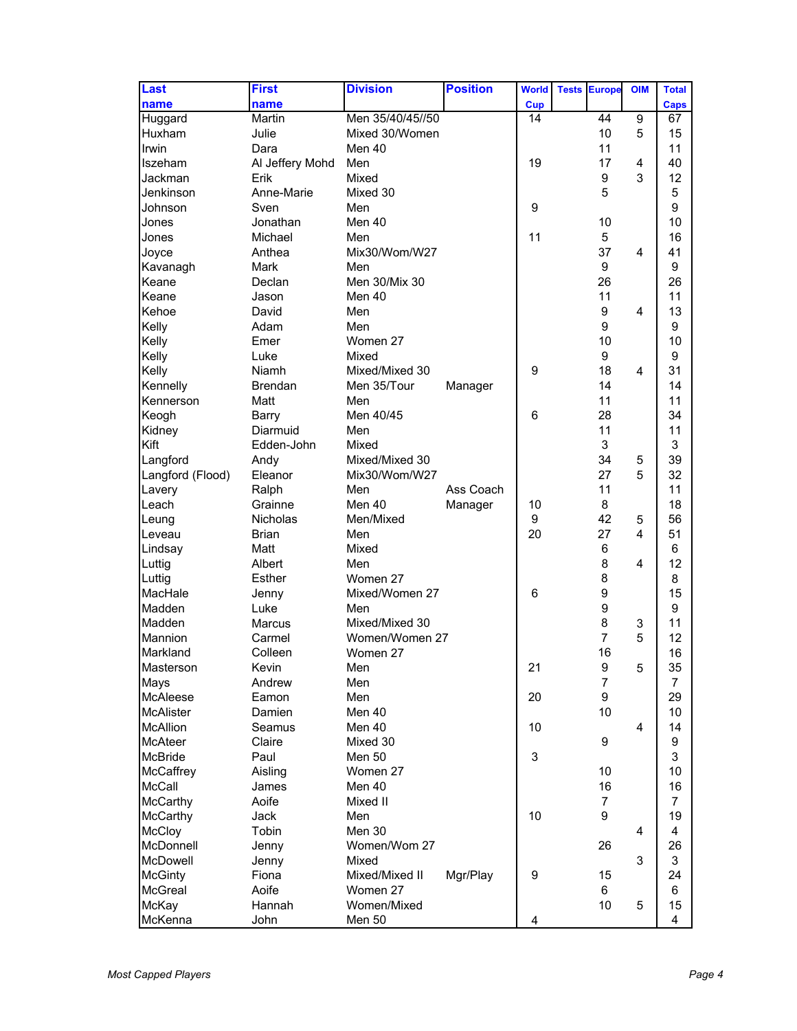| Last             | <b>First</b>    | <b>Division</b>  | <b>Position</b> | <b>World</b>     | <b>Tests</b> | <b>Europe</b>  | <b>OIM</b>     | <b>Total</b>   |
|------------------|-----------------|------------------|-----------------|------------------|--------------|----------------|----------------|----------------|
| name             | name            |                  |                 | <b>Cup</b>       |              |                |                | <b>Caps</b>    |
| Huggard          | Martin          | Men 35/40/45//50 |                 | 14               |              | 44             | 9              | 67             |
| Huxham           | Julie           | Mixed 30/Women   |                 |                  |              | 10             | 5              | 15             |
| Irwin            | Dara            | Men 40           |                 |                  |              | 11             |                | 11             |
| Ilszeham         | Al Jeffery Mohd | Men              |                 | 19               |              | 17             | 4              | 40             |
| Jackman          | Erik            | Mixed            |                 |                  |              | 9              | 3              | 12             |
| Jenkinson        | Anne-Marie      | Mixed 30         |                 |                  |              | 5              |                | 5              |
| <b>Johnson</b>   | Sven            | Men              |                 | $\boldsymbol{9}$ |              |                |                | 9              |
| Jones            | Jonathan        | Men 40           |                 |                  |              | 10             |                | 10             |
| Jones            | Michael         | Men              |                 | 11               |              | 5              |                | 16             |
| Joyce            | Anthea          | Mix30/Wom/W27    |                 |                  |              | 37             | 4              | 41             |
| Kavanagh         | Mark            | Men              |                 |                  |              | 9              |                | 9              |
| Keane            | Declan          | Men 30/Mix 30    |                 |                  |              | 26             |                | 26             |
| Keane            | Jason           | Men 40           |                 |                  |              | 11             |                | 11             |
| Kehoe            | David           | Men              |                 |                  |              | 9              | 4              | 13             |
| Kelly            | Adam            | Men              |                 |                  |              | 9              |                | 9              |
| Kelly            | Emer            | Women 27         |                 |                  |              | 10             |                | 10             |
| Kelly            | Luke            | Mixed            |                 |                  |              | 9              |                | 9              |
| Kelly            | Niamh           | Mixed/Mixed 30   |                 | 9                |              | 18             | $\overline{4}$ | 31             |
| Kennelly         | <b>Brendan</b>  | Men 35/Tour      | Manager         |                  |              | 14             |                | 14             |
| Kennerson        | Matt            | Men              |                 |                  |              | 11             |                | 11             |
| Keogh            | <b>Barry</b>    | Men 40/45        |                 | 6                |              | 28             |                | 34             |
| Kidney           | Diarmuid        | Men              |                 |                  |              | 11             |                | 11             |
| Kift             | Edden-John      | Mixed            |                 |                  |              | 3              |                | 3              |
| Langford         | Andy            | Mixed/Mixed 30   |                 |                  |              | 34             | 5              | 39             |
| Langford (Flood) | Eleanor         | Mix30/Wom/W27    |                 |                  |              | 27             | 5              | 32             |
| Lavery           | Ralph           | Men              | Ass Coach       |                  |              | 11             |                | 11             |
| Leach            | Grainne         | Men 40           | Manager         | 10               |              | 8              |                | 18             |
| Leung            | <b>Nicholas</b> | Men/Mixed        |                 | 9                |              | 42             | 5              | 56             |
| Leveau           | <b>Brian</b>    | Men              |                 | 20               |              | 27             | 4              | 51             |
| Lindsay          | Matt            | Mixed            |                 |                  |              | 6              |                | 6              |
| Luttig           | Albert          | Men              |                 |                  |              | 8              | 4              | 12             |
| Luttig           | Esther          | Women 27         |                 |                  |              | 8              |                | 8              |
| MacHale          | Jenny           | Mixed/Women 27   |                 | 6                |              | 9              |                | 15             |
| Madden           | Luke            | Men              |                 |                  |              | 9              |                | 9              |
| Madden           | Marcus          | Mixed/Mixed 30   |                 |                  |              | 8              | 3              | 11             |
| Mannion          | Carmel          | Women/Women 27   |                 |                  |              | $\overline{7}$ | 5              | 12             |
| Markland         | Colleen         | Women 27         |                 |                  |              | 16             |                | 16             |
| Masterson        | Kevin           | Men              |                 | 21               |              | 9              | 5              | 35             |
| Mays             | Andrew          | Men              |                 |                  |              | $\overline{7}$ |                | $\overline{7}$ |
| McAleese         | Eamon           | Men              |                 | 20               |              | 9              |                | 29             |
| <b>McAlister</b> | Damien          | Men 40           |                 |                  |              | 10             |                | 10             |
| <b>McAllion</b>  | Seamus          | Men 40           |                 | 10               |              |                | 4              | 14             |
| <b>McAteer</b>   | Claire          | Mixed 30         |                 |                  |              | 9              |                | 9              |
| <b>McBride</b>   | Paul            | Men 50           |                 | 3                |              |                |                | 3              |
| McCaffrey        | Aisling         | Women 27         |                 |                  |              | 10             |                | 10             |
| McCall           | James           | Men 40           |                 |                  |              | 16             |                | 16             |
| <b>McCarthy</b>  | Aoife           | Mixed II         |                 |                  |              | $\overline{7}$ |                | $\overline{7}$ |
| <b>McCarthy</b>  | Jack            | Men              |                 | 10               |              | 9              |                | 19             |
| <b>McCloy</b>    | Tobin           | Men 30           |                 |                  |              |                | 4              | 4              |
| McDonnell        | Jenny           | Women/Wom 27     |                 |                  |              | 26             |                | 26             |
| McDowell         | Jenny           | Mixed            |                 |                  |              |                | 3              | 3              |
| <b>McGinty</b>   | Fiona           | Mixed/Mixed II   | Mgr/Play        | 9                |              | 15             |                | 24             |
| McGreal          | Aoife           | Women 27         |                 |                  |              | 6              |                | 6              |
| McKay            | Hannah          | Women/Mixed      |                 |                  |              | 10             | 5              | 15             |
| McKenna          | John            | Men 50           |                 | 4                |              |                |                | 4              |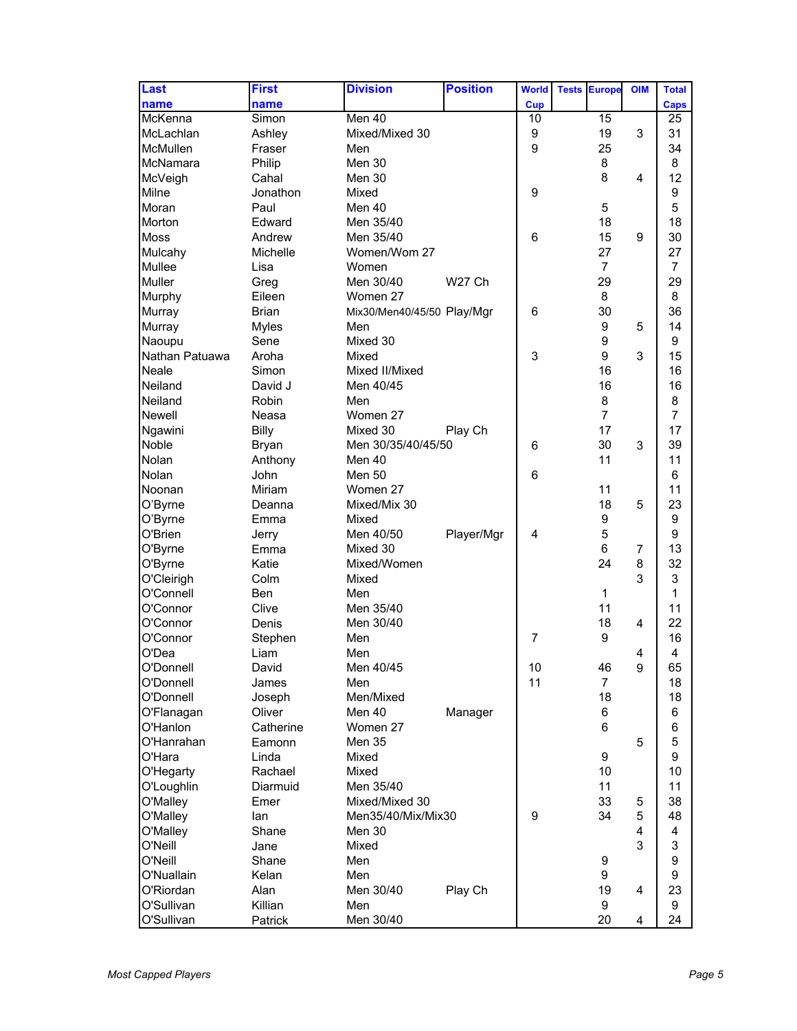| Last           | <b>First</b> | <b>Division</b>            | <b>Position</b> | <b>World</b>   | <b>Tests Europe</b> | <b>OIM</b>     | <b>Total</b>   |
|----------------|--------------|----------------------------|-----------------|----------------|---------------------|----------------|----------------|
| name           | name         |                            |                 | <b>Cup</b>     |                     |                | <b>Caps</b>    |
| McKenna        | Simon        | Men 40                     |                 | 10             | 15                  |                | 25             |
| McLachlan      | Ashley       | Mixed/Mixed 30             |                 | 9              | 19                  | 3              | 31             |
| McMullen       | Fraser       | Men                        |                 | 9              | 25                  |                | 34             |
| McNamara       | Philip       | Men 30                     |                 |                | 8                   |                | 8              |
| McVeigh        | Cahal        | Men 30                     |                 |                | 8                   | 4              | 12             |
| Milne          | Jonathon     | Mixed                      |                 | 9              |                     |                | 9              |
| Moran          | Paul         | Men 40                     |                 |                | 5                   |                | 5              |
| Morton         | Edward       | Men 35/40                  |                 |                | 18                  |                | 18             |
| <b>Moss</b>    | Andrew       | Men 35/40                  |                 | 6              | 15                  | 9              | 30             |
| Mulcahy        | Michelle     | Women/Wom 27               |                 |                | 27                  |                | 27             |
| Mullee         | Lisa         | Women                      |                 |                | $\overline{7}$      |                | 7              |
| Muller         | Greg         | Men 30/40                  | W27 Ch          |                | 29                  |                | 29             |
| Murphy         | Eileen       | Women 27                   |                 |                | 8                   |                | 8              |
| Murray         | <b>Brian</b> | Mix30/Men40/45/50 Play/Mgr |                 | 6              | 30                  |                | 36             |
| Murray         | <b>Myles</b> | Men                        |                 |                | 9                   | 5              | 14             |
| Naoupu         | Sene         | Mixed 30                   |                 |                | 9                   |                | 9              |
| Nathan Patuawa | Aroha        | Mixed                      |                 | 3              | 9                   | 3              | 15             |
| Neale          | Simon        | Mixed II/Mixed             |                 |                | 16                  |                | 16             |
| Neiland        | David J      | Men 40/45                  |                 |                | 16                  |                | 16             |
| Neiland        | Robin        | Men                        |                 |                | 8                   |                | 8              |
| Newell         | Neasa        | Women 27                   |                 |                | $\overline{7}$      |                | $\overline{7}$ |
| Ngawini        | <b>Billy</b> | Mixed 30                   | Play Ch         |                | 17                  |                | 17             |
| Noble          | <b>Bryan</b> | Men 30/35/40/45/50         |                 | 6              | 30                  | 3              | 39             |
| Nolan          | Anthony      | Men 40                     |                 |                | 11                  |                | 11             |
| Nolan          | John         | <b>Men 50</b>              |                 | 6              |                     |                | 6              |
| Noonan         | Miriam       | Women 27                   |                 |                | 11                  |                | 11             |
| O'Byrne        | Deanna       | Mixed/Mix 30               |                 |                | 18                  | 5              | 23             |
| O'Byrne        | Emma         | Mixed                      |                 |                | 9                   |                | 9              |
| O'Brien        | Jerry        | Men 40/50                  | Player/Mgr      | 4              | 5                   |                | 9              |
| O'Byrne        | Emma         | Mixed 30                   |                 |                | 6                   | $\overline{7}$ | 13             |
| O'Byrne        | Katie        | Mixed/Women                |                 |                | 24                  | 8              | 32             |
| O'Cleirigh     | Colm         | Mixed                      |                 |                |                     | 3              | 3              |
| O'Connell      | <b>Ben</b>   | Men                        |                 |                | $\mathbf{1}$        |                | 1              |
| O'Connor       | Clive        | Men 35/40                  |                 |                | 11                  |                | 11             |
| O'Connor       | Denis        | Men 30/40                  |                 |                | 18                  | $\overline{4}$ | 22             |
| O'Connor       | Stephen      | Men                        |                 | $\overline{7}$ | 9                   |                | 16             |
| O'Dea          | Liam         | Men                        |                 |                |                     | 4              | 4              |
| O'Donnell      | David        | Men 40/45                  |                 | 10             | 46                  | 9              | 65             |
| O'Donnell      | James        | Men                        |                 | 11             | $\overline{7}$      |                | 18             |
| O'Donnell      | Joseph       | Men/Mixed                  |                 |                | 18                  |                | 18             |
| O'Flanagan     | Oliver       | Men 40                     | Manager         |                | 6                   |                | 6              |
| O'Hanlon       | Catherine    | Women 27                   |                 |                | 6                   |                | 6              |
| O'Hanrahan     | Eamonn       | Men 35                     |                 |                |                     | 5              | 5              |
| O'Hara         | Linda        | Mixed                      |                 |                | 9                   |                | 9              |
| O'Hegarty      | Rachael      | Mixed                      |                 |                | 10 <sup>1</sup>     |                | 10             |
| O'Loughlin     | Diarmuid     | Men 35/40                  |                 |                | 11                  |                | 11             |
| O'Malley       | Emer         | Mixed/Mixed 30             |                 |                | 33                  | 5              | 38             |
| O'Malley       | lan          | Men35/40/Mix/Mix30         |                 | 9              | 34                  | 5              | 48             |
| O'Malley       | Shane        | Men 30                     |                 |                |                     | $\overline{4}$ | 4              |
| O'Neill        | Jane         | Mixed                      |                 |                |                     | 3              | 3              |
| O'Neill        | Shane        | Men                        |                 |                | 9                   |                | 9              |
| O'Nuallain     | Kelan        | Men                        |                 |                | 9                   |                | 9              |
| O'Riordan      | Alan         | Men 30/40                  | Play Ch         |                | 19                  | 4              | 23             |
| O'Sullivan     | Killian      | Men                        |                 |                | 9                   |                | 9              |
| O'Sullivan     | Patrick      | Men 30/40                  |                 |                | 20                  | 4              | 24             |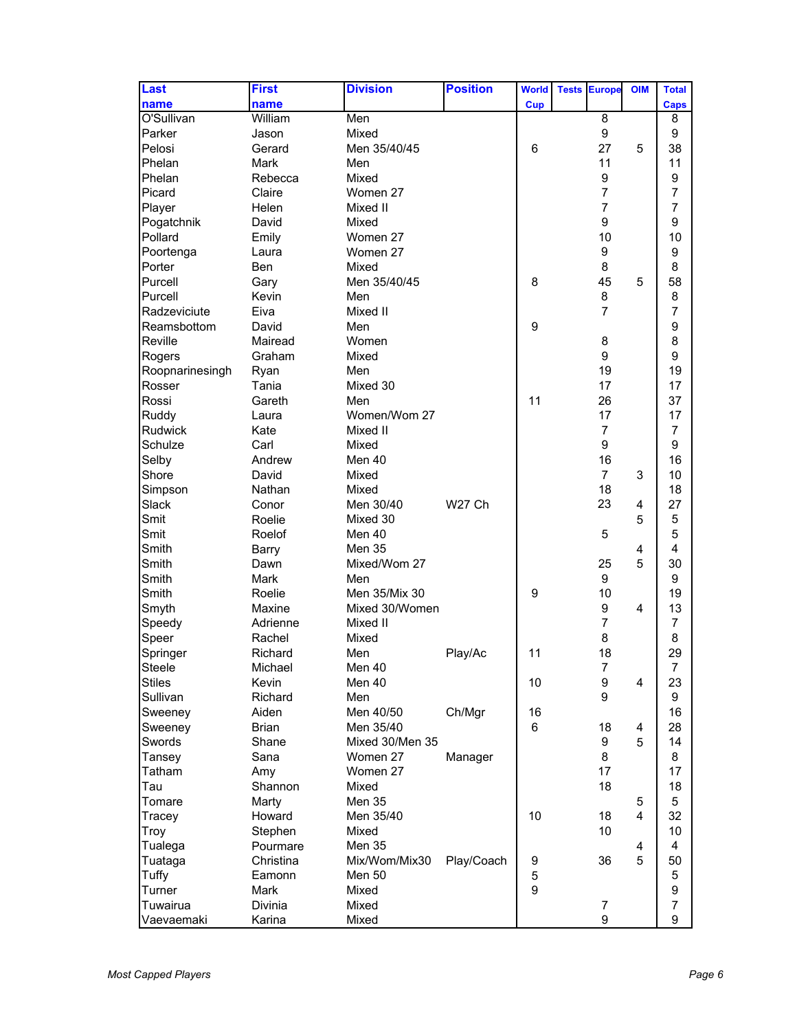| Last            | <b>First</b> | <b>Division</b> | <b>Position</b> | <b>World</b> | <b>Tests Europe</b> | <b>OIM</b> | <b>Total</b>   |
|-----------------|--------------|-----------------|-----------------|--------------|---------------------|------------|----------------|
| name            | name         |                 |                 | <b>Cup</b>   |                     |            | <b>Caps</b>    |
| O'Sullivan      | William      | Men             |                 |              | 8                   |            | 8              |
| Parker          | Jason        | Mixed           |                 |              | 9                   |            | 9              |
| Pelosi          | Gerard       | Men 35/40/45    |                 | 6            | 27                  | 5          | 38             |
| Phelan          | Mark         | Men             |                 |              | 11                  |            | 11             |
| Phelan          | Rebecca      | Mixed           |                 |              | 9                   |            | 9              |
| Picard          | Claire       | Women 27        |                 |              | $\overline{7}$      |            | 7              |
| Player          | Helen        | Mixed II        |                 |              | $\overline{7}$      |            | $\overline{7}$ |
| Pogatchnik      | David        | Mixed           |                 |              | 9                   |            | 9              |
| Pollard         | Emily        | Women 27        |                 |              | 10                  |            | 10             |
| Poortenga       | Laura        | Women 27        |                 |              | 9                   |            | 9              |
| Porter          | Ben          | Mixed           |                 |              | 8                   |            | 8              |
| Purcell         | Gary         | Men 35/40/45    |                 | 8            | 45                  | 5          | 58             |
| Purcell         | Kevin        | Men             |                 |              | 8                   |            | 8              |
| Radzeviciute    | Eiva         | Mixed II        |                 |              | $\overline{7}$      |            | $\overline{7}$ |
| Reamsbottom     | David        | Men             |                 | 9            |                     |            | 9              |
| Reville         | Mairead      | Women           |                 |              | 8                   |            | 8              |
| Rogers          | Graham       | Mixed           |                 |              | 9                   |            | 9              |
| Roopnarinesingh | Ryan         | Men             |                 |              | 19                  |            | 19             |
| Rosser          | Tania        | Mixed 30        |                 |              | 17                  |            | 17             |
| Rossi           | Gareth       | Men             |                 | 11           | 26                  |            | 37             |
| Ruddy           | Laura        | Women/Wom 27    |                 |              | 17                  |            | 17             |
| <b>Rudwick</b>  | Kate         | Mixed II        |                 |              | $\overline{7}$      |            | $\overline{7}$ |
| Schulze         | Carl         | Mixed           |                 |              | 9                   |            | 9              |
| Selby           | Andrew       | Men 40          |                 |              | 16                  |            | 16             |
| Shore           | David        | Mixed           |                 |              | $\overline{7}$      | 3          | 10             |
| Simpson         | Nathan       | Mixed           |                 |              | 18                  |            | 18             |
| Slack           | Conor        | Men 30/40       | W27 Ch          |              | 23                  | 4          | 27             |
| Smit            | Roelie       | Mixed 30        |                 |              |                     | 5          | 5              |
| Smit            | Roelof       | Men 40          |                 |              | 5                   |            | 5              |
| Smith           | <b>Barry</b> | <b>Men 35</b>   |                 |              |                     | 4          | 4              |
| Smith           | Dawn         | Mixed/Wom 27    |                 |              | 25                  | 5          | 30             |
| Smith           | Mark         | Men             |                 |              | 9                   |            | 9              |
| Smith           | Roelie       | Men 35/Mix 30   |                 | 9            | 10                  |            | 19             |
| Smyth           | Maxine       | Mixed 30/Women  |                 |              | 9                   | 4          | 13             |
| Speedy          | Adrienne     | Mixed II        |                 |              | $\overline{7}$      |            | 7              |
| Speer           | Rachel       | Mixed           |                 |              | 8                   |            | 8              |
| Springer        | Richard      | Men             | Play/Ac         | 11           | 18                  |            | 29             |
| Steele          | Michael      | Men 40          |                 |              | $\overline{7}$      |            | 7              |
| <b>Stiles</b>   | Kevin        | Men 40          |                 | 10           | $\boldsymbol{9}$    | 4          | 23             |
| Sullivan        | Richard      | Men             |                 |              | 9                   |            | 9              |
| Sweeney         | Aiden        | Men 40/50       | Ch/Mgr          | 16           |                     |            | 16             |
| Sweeney         | <b>Brian</b> | Men 35/40       |                 | 6            | 18                  | 4          | 28             |
| Swords          | Shane        | Mixed 30/Men 35 |                 |              | 9                   | 5          | 14             |
| Tansey          | Sana         | Women 27        | Manager         |              | 8                   |            | 8              |
| Tatham          | Amy          | Women 27        |                 |              | 17                  |            | 17             |
| Tau             | Shannon      | Mixed           |                 |              | 18                  |            | 18             |
| Tomare          | Marty        | Men 35          |                 |              |                     | 5          | 5              |
| Tracey          | Howard       | Men 35/40       |                 | 10           | 18                  | 4          | 32             |
| Troy            | Stephen      | Mixed           |                 |              | 10                  |            | 10             |
| Tualega         | Pourmare     | <b>Men 35</b>   |                 |              |                     | 4          | 4              |
| Tuataga         | Christina    | Mix/Wom/Mix30   | Play/Coach      | 9            | 36                  | 5          | 50             |
| Tuffy           | Eamonn       | Men 50          |                 | 5            |                     |            | 5              |
| Turner          | <b>Mark</b>  | Mixed           |                 | 9            |                     |            | 9              |
| Tuwairua        | Divinia      | Mixed           |                 |              | $\overline{7}$      |            | $\overline{7}$ |
| Vaevaemaki      | Karina       | Mixed           |                 |              | 9                   |            | 9              |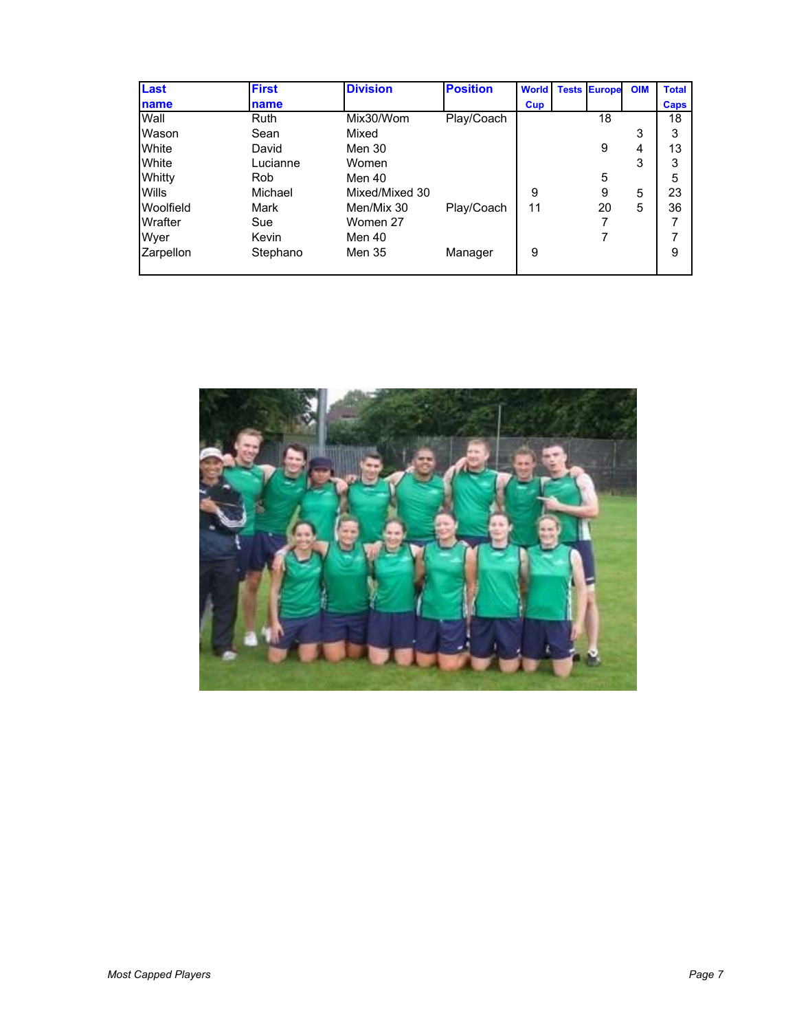| <b>Last</b>      | <b>First</b> | <b>Division</b> | <b>Position</b> | <b>World</b> | <b>Tests Europe</b> | <b>OIM</b> | <b>Total</b> |
|------------------|--------------|-----------------|-----------------|--------------|---------------------|------------|--------------|
| <b>name</b>      | name         |                 |                 | Cup          |                     |            | <b>Caps</b>  |
| Wall             | Ruth         | Mix30/Wom       | Play/Coach      |              | 18                  |            | 18           |
| Wason            | Sean         | Mixed           |                 |              |                     | 3          | 3            |
| White            | David        | Men 30          |                 |              | 9                   | 4          | 13           |
| White            | Lucianne     | Women           |                 |              |                     | 3          | 3            |
| Whitty           | <b>Rob</b>   | Men 40          |                 |              | 5                   |            | 5            |
| Wills            | Michael      | Mixed/Mixed 30  |                 | 9            | 9                   | 5          | 23           |
| <b>Woolfield</b> | Mark         | Men/Mix 30      | Play/Coach      | 11           | 20                  | 5          | 36           |
| Wrafter          | Sue          | Women 27        |                 |              |                     |            |              |
| Wyer             | Kevin        | Men 40          |                 |              |                     |            |              |
| Zarpellon        | Stephano     | Men 35          | Manager         | 9            |                     |            | 9            |
|                  |              |                 |                 |              |                     |            |              |

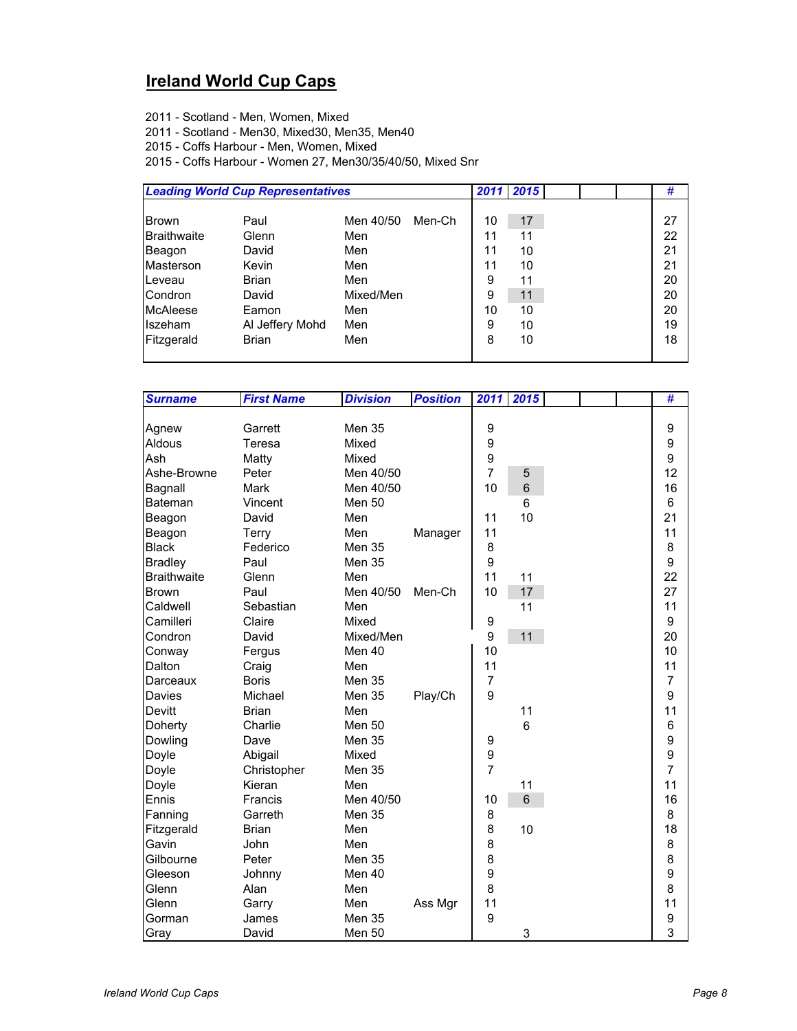### **Ireland World Cup Caps**

- 2011 Scotland Men, Women, Mixed
- 2011 Scotland Men30, Mixed30, Men35, Men40
- 2015 Coffs Harbour Men, Women, Mixed
- 2015 Coffs Harbour Women 27, Men30/35/40/50, Mixed Snr

|                 | <b>Leading World Cup Representatives</b> |           |        |    | 2011 2015 |  | #  |
|-----------------|------------------------------------------|-----------|--------|----|-----------|--|----|
|                 |                                          |           |        |    |           |  |    |
| <b>Brown</b>    | Paul                                     | Men 40/50 | Men-Ch | 10 | 17        |  | 27 |
| Braithwaite     | Glenn                                    | Men       |        | 11 | 11        |  | 22 |
| Beagon          | David                                    | Men       |        | 11 | 10        |  | 21 |
| Masterson       | Kevin                                    | Men       |        | 11 | 10        |  | 21 |
| Leveau          | <b>Brian</b>                             | Men       |        | 9  | 11        |  | 20 |
| Condron         | David                                    | Mixed/Men |        | 9  | 11        |  | 20 |
| <b>McAleese</b> | Eamon                                    | Men       |        | 10 | 10        |  | 20 |
| <b>Iszeham</b>  | Al Jeffery Mohd                          | Men       |        | 9  | 10        |  | 19 |
| Fitzgerald      | <b>Brian</b>                             | Men       |        | 8  | 10        |  | 18 |
|                 |                                          |           |        |    |           |  |    |

| <b>Surname</b>     | <b>First Name</b> | <b>Division</b> | <b>Position</b> | 2011             | 2015           |  | #              |
|--------------------|-------------------|-----------------|-----------------|------------------|----------------|--|----------------|
|                    |                   |                 |                 |                  |                |  |                |
| Agnew              | Garrett           | Men 35          |                 | 9                |                |  | 9              |
| Aldous             | Teresa            | Mixed           |                 | 9                |                |  | 9              |
| Ash                | Matty             | Mixed           |                 | $\boldsymbol{9}$ |                |  | 9              |
| Ashe-Browne        | Peter             | Men 40/50       |                 | $\overline{7}$   | 5              |  | 12             |
| Bagnall            | Mark              | Men 40/50       |                 | 10               | 6              |  | 16             |
| Bateman            | Vincent           | <b>Men 50</b>   |                 |                  | 6              |  | 6              |
| Beagon             | David             | Men             |                 | 11               | 10             |  | 21             |
| Beagon             | Terry             | Men             | Manager         | 11               |                |  | 11             |
| <b>Black</b>       | Federico          | Men 35          |                 | 8                |                |  | 8              |
| <b>Bradley</b>     | Paul              | Men 35          |                 | 9                |                |  | 9              |
| <b>Braithwaite</b> | Glenn             | Men             |                 | 11               | 11             |  | 22             |
| Brown              | Paul              | Men 40/50       | Men-Ch          | 10               | 17             |  | 27             |
| Caldwell           | Sebastian         | Men             |                 |                  | 11             |  | 11             |
| Camilleri          | Claire            | Mixed           |                 | 9                |                |  | 9              |
| Condron            | David             | Mixed/Men       |                 | 9                | 11             |  | 20             |
| Conway             | Fergus            | Men 40          |                 | 10               |                |  | 10             |
| Dalton             | Craig             | Men             |                 | 11               |                |  | 11             |
| Darceaux           | <b>Boris</b>      | <b>Men 35</b>   |                 | $\overline{7}$   |                |  | $\overline{7}$ |
| Davies             | Michael           | <b>Men 35</b>   | Play/Ch         | 9                |                |  | 9              |
| <b>Devitt</b>      | <b>Brian</b>      | Men             |                 |                  | 11             |  | 11             |
| Doherty            | Charlie           | Men 50          |                 |                  | $6\phantom{1}$ |  | 6              |
| Dowling            | Dave              | Men 35          |                 | 9                |                |  | 9              |
| Doyle              | Abigail           | Mixed           |                 | 9                |                |  | 9              |
| Doyle              | Christopher       | Men 35          |                 | $\overline{7}$   |                |  | $\overline{7}$ |
| Doyle              | Kieran            | Men             |                 |                  | 11             |  | 11             |
| Ennis              | Francis           | Men 40/50       |                 | 10               | $6\phantom{1}$ |  | 16             |
| Fanning            | Garreth           | Men 35          |                 | 8                |                |  | 8              |
| Fitzgerald         | <b>Brian</b>      | Men             |                 | 8                | 10             |  | 18             |
| Gavin              | John              | Men             |                 | 8                |                |  | 8              |
| Gilbourne          | Peter             | Men 35          |                 | 8                |                |  | 8              |
| Gleeson            | Johnny            | Men 40          |                 | 9                |                |  | 9              |
| Glenn              | Alan              | Men             |                 | 8                |                |  | 8              |
| Glenn              | Garry             | Men             | Ass Mgr         | 11               |                |  | 11             |
| Gorman             | James             | Men 35          |                 | 9                |                |  | 9              |
| Gray               | David             | Men 50          |                 |                  | 3              |  | 3              |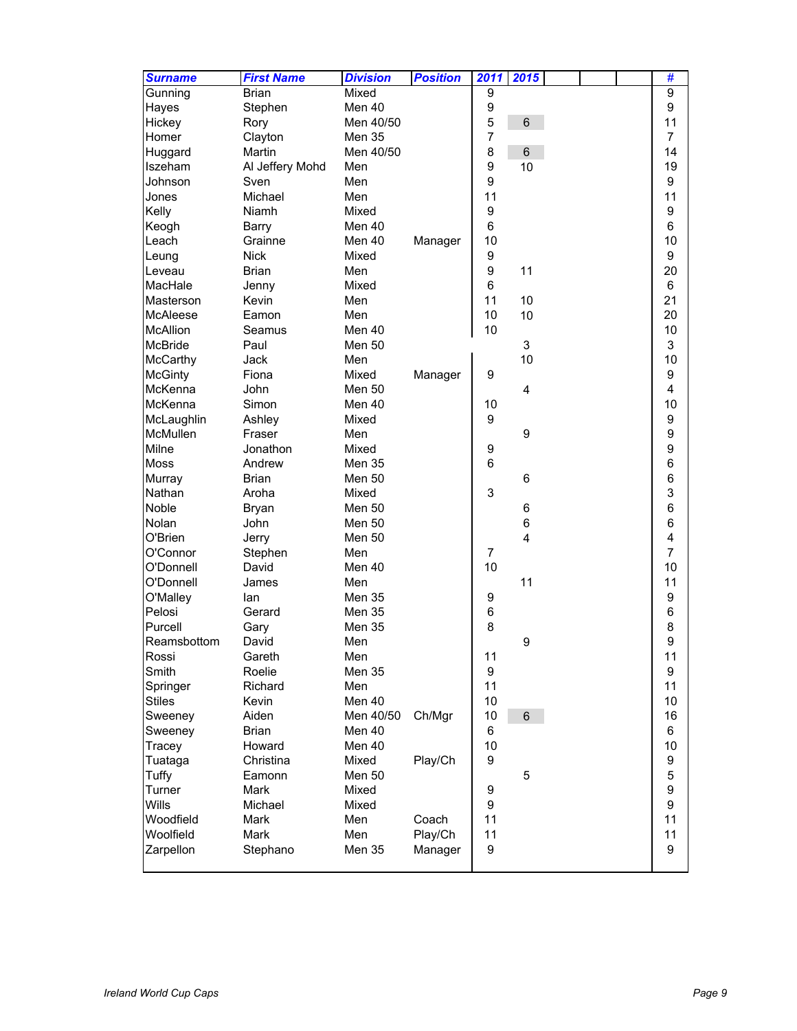| <b>Surname</b>  | <b>First Name</b> | <b>Division</b> | <b>Position</b> | 2011           | 2015             |  | #                       |
|-----------------|-------------------|-----------------|-----------------|----------------|------------------|--|-------------------------|
| Gunning         | <b>Brian</b>      | Mixed           |                 | 9              |                  |  | 9                       |
| Hayes           | Stephen           | Men 40          |                 | 9              |                  |  | 9                       |
| Hickey          | Rory              | Men 40/50       |                 | 5              | $\,6\,$          |  | 11                      |
| Homer           | Clayton           | Men 35          |                 | $\overline{7}$ |                  |  | $\overline{7}$          |
| Huggard         | Martin            | Men 40/50       |                 | 8              | 6                |  | 14                      |
| Iszeham         | Al Jeffery Mohd   | Men             |                 | 9              | 10               |  | 19                      |
| Johnson         | Sven              | Men             |                 | 9              |                  |  | 9                       |
| Jones           | Michael           | Men             |                 | 11             |                  |  | 11                      |
| Kelly           | Niamh             | Mixed           |                 | 9              |                  |  | 9                       |
| Keogh           | <b>Barry</b>      | Men 40          |                 | 6              |                  |  | 6                       |
| Leach           | Grainne           | Men 40          | Manager         | 10             |                  |  | 10                      |
| Leung           | <b>Nick</b>       | Mixed           |                 | 9              |                  |  | 9                       |
| Leveau          | <b>Brian</b>      | Men             |                 | 9              | 11               |  | 20                      |
| MacHale         | Jenny             | Mixed           |                 | 6              |                  |  | 6                       |
| Masterson       | Kevin             | Men             |                 | 11             | 10               |  | 21                      |
| McAleese        | Eamon             | Men             |                 | 10             | 10               |  | 20                      |
| <b>McAllion</b> | Seamus            | Men 40          |                 | 10             |                  |  | 10                      |
| <b>McBride</b>  | Paul              | <b>Men 50</b>   |                 |                | $\mathfrak{S}$   |  | 3                       |
| McCarthy        | Jack              | Men             |                 |                | 10               |  | 10                      |
| <b>McGinty</b>  | Fiona             | Mixed           | Manager         | 9              |                  |  | 9                       |
| McKenna         | John              | <b>Men 50</b>   |                 |                | 4                |  | 4                       |
| McKenna         | Simon             | Men 40          |                 | 10             |                  |  | 10                      |
| McLaughlin      | Ashley            | Mixed           |                 | 9              |                  |  | 9                       |
| McMullen        | Fraser            | Men             |                 |                | $\boldsymbol{9}$ |  | 9                       |
| Milne           | Jonathon          | Mixed           |                 | 9              |                  |  | 9                       |
| <b>Moss</b>     | Andrew            | <b>Men 35</b>   |                 | 6              |                  |  | 6                       |
| Murray          | Brian             | <b>Men 50</b>   |                 |                | $\,6$            |  | 6                       |
| Nathan          | Aroha             | Mixed           |                 | 3              |                  |  | 3                       |
| Noble           | <b>Bryan</b>      | <b>Men 50</b>   |                 |                | 6                |  | 6                       |
| Nolan           | John              | Men 50          |                 |                | 6                |  | 6                       |
| O'Brien         | Jerry             | <b>Men 50</b>   |                 |                | 4                |  | $\overline{\mathbf{4}}$ |
| O'Connor        | Stephen           | Men             |                 | $\overline{7}$ |                  |  | $\overline{7}$          |
| O'Donnell       | David             | Men 40          |                 | 10             |                  |  | 10                      |
| O'Donnell       | James             | Men             |                 |                | 11               |  | 11                      |
| O'Malley        | lan               | Men 35          |                 | 9              |                  |  | 9                       |
| Pelosi          | Gerard            | Men 35          |                 | 6              |                  |  | 6                       |
| Purcell         | Gary              | Men 35          |                 | 8              |                  |  | 8                       |
| Reamsbottom     | David             | Men             |                 |                | 9                |  | 9                       |
| Rossi           | Gareth            | Men             |                 | 11             |                  |  | 11                      |
| Smith           | Roelie            | Men 35          |                 | 9              |                  |  | 9                       |
| Springer        | Richard           | Men             |                 | 11             |                  |  | 11                      |
| <b>Stiles</b>   | Kevin             | Men 40          |                 | 10             |                  |  | 10                      |
| Sweeney         | Aiden             | Men 40/50       | Ch/Mgr          | 10             | $\,6\,$          |  | 16                      |
| Sweeney         | <b>Brian</b>      | Men 40          |                 | 6              |                  |  | 6                       |
| Tracey          | Howard            | Men 40          |                 | 10             |                  |  | 10                      |
| Tuataga         | Christina         | Mixed           | Play/Ch         | 9              |                  |  | 9                       |
| Tuffy           | Eamonn            | Men 50          |                 |                | 5                |  | 5                       |
| Turner          | Mark              | Mixed           |                 | 9              |                  |  | 9                       |
| Wills           | Michael           | Mixed           |                 | 9              |                  |  | 9                       |
| Woodfield       | Mark              | Men             | Coach           | 11             |                  |  | 11                      |
| Woolfield       | Mark              | Men             | Play/Ch         | 11             |                  |  | 11                      |
| Zarpellon       | Stephano          | Men 35          | Manager         | 9              |                  |  | 9                       |
|                 |                   |                 |                 |                |                  |  |                         |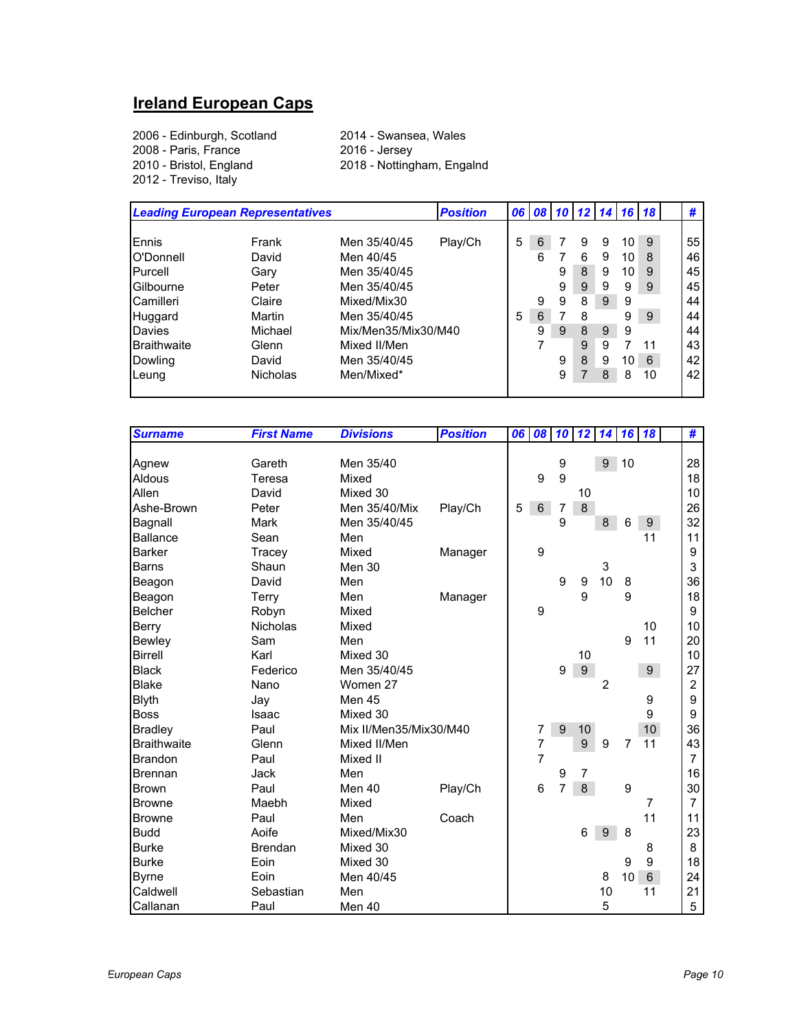#### **Ireland European Caps**

2006 - Edinburgh, Scotland 2014 - Swansea, Wales 2008 - Paris, France<br>2010 - Bristol, England 2012 - Treviso, Italy

2018 - Nottingham, Engalnd

| <b>Leading European Representatives</b> |                 |                     | <b>Position</b> |   |   | 06 08 10 12 14 16 18 |   |   |    |    | #  |
|-----------------------------------------|-----------------|---------------------|-----------------|---|---|----------------------|---|---|----|----|----|
|                                         |                 |                     |                 |   |   |                      |   |   |    |    |    |
| <b>E</b> nnis                           | Frank           | Men 35/40/45        | Play/Ch         | 5 | 6 |                      | 9 | 9 | 10 | 9  | 55 |
| O'Donnell                               | David           | Men 40/45           |                 |   | 6 |                      | 6 | 9 | 10 | 8  | 46 |
| Purcell                                 | Gary            | Men 35/40/45        |                 |   |   | 9                    | 8 | 9 | 10 | 9  | 45 |
| Gilbourne                               | Peter           | Men 35/40/45        |                 |   |   | 9                    | 9 | 9 | 9  | 9  | 45 |
| Camilleri                               | Claire          | Mixed/Mix30         |                 |   | 9 | 9                    | 8 | 9 | 9  |    | 44 |
| Huggard                                 | Martin          | Men 35/40/45        |                 | 5 | 6 |                      | 8 |   | 9  | 9  | 44 |
| Davies                                  | Michael         | Mix/Men35/Mix30/M40 |                 |   | 9 | 9                    | 8 | 9 | 9  |    | 44 |
| <b>Braithwaite</b>                      | Glenn           | Mixed II/Men        |                 |   |   |                      | 9 | 9 |    | 11 | 43 |
| Dowling                                 | David           | Men 35/40/45        |                 |   |   | 9                    | 8 | 9 | 10 | 6  | 42 |
| Leung                                   | <b>Nicholas</b> | Men/Mixed*          |                 |   |   | 9                    |   | 8 | 8  | 10 | 42 |
|                                         |                 |                     |                 |   |   |                      |   |   |    |    |    |

| <b>Surname</b>     | <b>First Name</b> | <b>Divisions</b>       | <b>Position</b> | 06 | 08             | 10             | 12               | 14      | 16             | <b>18</b>      | #              |
|--------------------|-------------------|------------------------|-----------------|----|----------------|----------------|------------------|---------|----------------|----------------|----------------|
|                    |                   |                        |                 |    |                |                |                  |         |                |                |                |
| Agnew              | Gareth            | Men 35/40              |                 |    |                | 9              |                  |         | 9 10           |                | 28             |
| Aldous             | Teresa            | Mixed                  |                 |    | 9              | 9              |                  |         |                |                | 18             |
| Allen              | David             | Mixed 30               |                 |    |                |                | 10               |         |                |                | 10             |
| Ashe-Brown         | Peter             | Men 35/40/Mix          | Play/Ch         | 5  | $\,6\,$        | 7              | $\bf 8$          |         |                |                | 26             |
| Bagnall            | Mark              | Men 35/40/45           |                 |    |                | 9              |                  | $\bf 8$ | 6              | 9 <sup>°</sup> | 32             |
| <b>Ballance</b>    | Sean              | Men                    |                 |    |                |                |                  |         |                | 11             | 11             |
| <b>Barker</b>      | Tracey            | Mixed                  | Manager         |    | 9              |                |                  |         |                |                | 9              |
| Barns              | Shaun             | Men 30                 |                 |    |                |                |                  | 3       |                |                | 3              |
| Beagon             | David             | Men                    |                 |    |                | 9              | 9                | 10      | 8              |                | 36             |
| Beagon             | Terry             | Men                    | Manager         |    |                |                | 9                |         | 9              |                | 18             |
| <b>Belcher</b>     | Robyn             | Mixed                  |                 |    | 9              |                |                  |         |                |                | 9              |
| Berry              | <b>Nicholas</b>   | Mixed                  |                 |    |                |                |                  |         |                | 10             | 10             |
| Bewley             | Sam               | Men                    |                 |    |                |                |                  |         | 9              | 11             | 20             |
| <b>Birrell</b>     | Karl              | Mixed 30               |                 |    |                |                | 10               |         |                |                | 10             |
| <b>Black</b>       | Federico          | Men 35/40/45           |                 |    |                | 9              | $\boldsymbol{9}$ |         |                | 9 <sup>°</sup> | 27             |
| <b>Blake</b>       | Nano              | Women 27               |                 |    |                |                |                  | 2       |                |                | $\overline{2}$ |
| <b>Blyth</b>       | Jay               | Men 45                 |                 |    |                |                |                  |         |                | 9              | 9              |
| <b>Boss</b>        | Isaac             | Mixed 30               |                 |    |                |                |                  |         |                | 9              | 9              |
| <b>Bradley</b>     | Paul              | Mix II/Men35/Mix30/M40 |                 |    | 7              | 9              | 10               |         |                | 10             | 36             |
| <b>Braithwaite</b> | Glenn             | Mixed II/Men           |                 |    | 7              |                | 9                | 9       | $\overline{7}$ | 11             | 43             |
| <b>Brandon</b>     | Paul              | Mixed II               |                 |    | $\overline{7}$ |                |                  |         |                |                | $\overline{7}$ |
| <b>Brennan</b>     | Jack              | Men                    |                 |    |                | 9              | 7                |         |                |                | 16             |
| <b>Brown</b>       | Paul              | Men 40                 | Play/Ch         |    | 6              | $\overline{7}$ | 8                |         | 9              |                | 30             |
| <b>Browne</b>      | Maebh             | Mixed                  |                 |    |                |                |                  |         |                | $\overline{7}$ | $\overline{7}$ |
| <b>Browne</b>      | Paul              | Men                    | Coach           |    |                |                |                  |         |                | 11             | 11             |
| <b>Budd</b>        | Aoife             | Mixed/Mix30            |                 |    |                |                | 6                | 9       | 8              |                | 23             |
| <b>Burke</b>       | <b>Brendan</b>    | Mixed 30               |                 |    |                |                |                  |         |                | 8              | 8              |
| <b>Burke</b>       | Eoin              | Mixed 30               |                 |    |                |                |                  |         | 9              | 9              | 18             |
| <b>Byrne</b>       | Eoin              | Men 40/45              |                 |    |                |                |                  | 8       | 10             | $\,6\,$        | 24             |
| Caldwell           | Sebastian         | Men                    |                 |    |                |                |                  | 10      |                | 11             | 21             |
| Callanan           | Paul              | Men 40                 |                 |    |                |                |                  | 5       |                |                | 5              |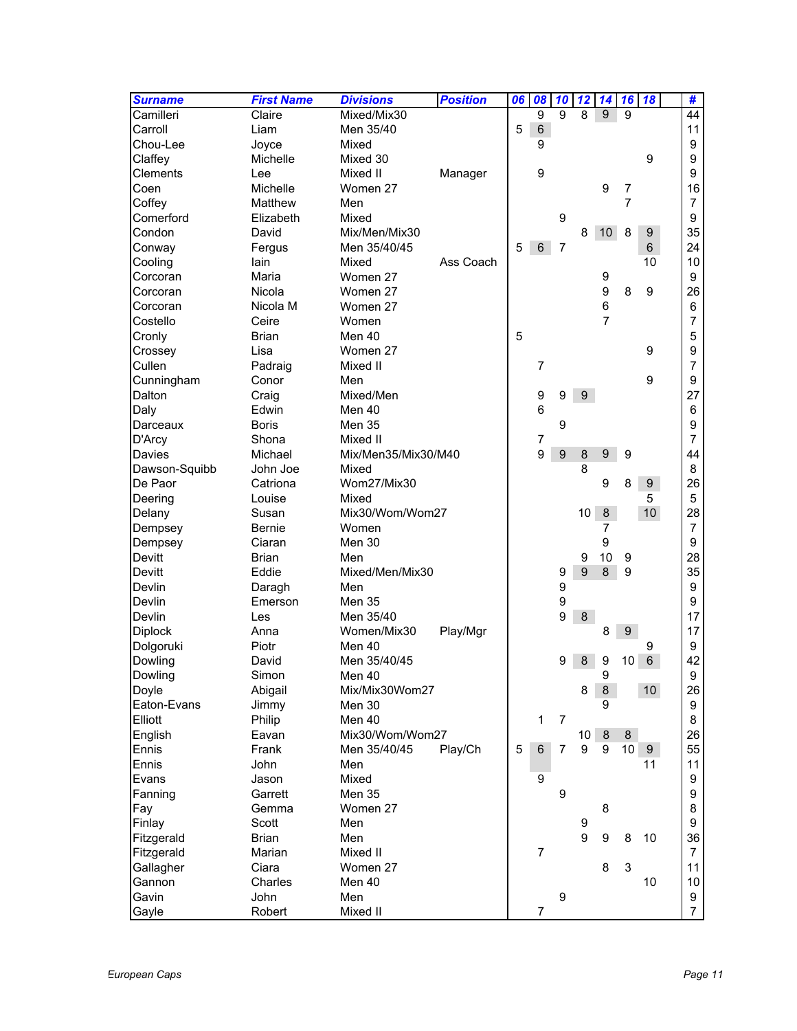| <b>Surname</b> | <b>First Name</b> | <b>Divisions</b>    | <b>Position</b> | 06 | 08              | 10               | 12              | 14               | 16              | 18               | #               |
|----------------|-------------------|---------------------|-----------------|----|-----------------|------------------|-----------------|------------------|-----------------|------------------|-----------------|
| Camilleri      | Claire            | Mixed/Mix30         |                 |    | $\overline{9}$  | 9                | 8               | 9                | 9               |                  | $\overline{44}$ |
| Carroll        | Liam              | Men 35/40           |                 | 5  | $\,6\,$         |                  |                 |                  |                 |                  | 11              |
| Chou-Lee       | Joyce             | Mixed               |                 |    | 9               |                  |                 |                  |                 |                  | 9               |
| Claffey        | Michelle          | Mixed 30            |                 |    |                 |                  |                 |                  |                 | 9                | 9               |
| Clements       | Lee               | Mixed II            | Manager         |    | 9               |                  |                 |                  |                 |                  | 9               |
| Coen           | Michelle          | Women 27            |                 |    |                 |                  |                 | 9                | 7               |                  | 16              |
| Coffey         | Matthew           | Men                 |                 |    |                 |                  |                 |                  | 7               |                  | $\overline{7}$  |
| Comerford      | Elizabeth         | Mixed               |                 |    |                 | 9                |                 |                  |                 |                  | 9               |
| Condon         | David             | Mix/Men/Mix30       |                 |    |                 |                  | 8               | 10 <sup>°</sup>  | 8               | $\boldsymbol{9}$ | 35              |
| Conway         | Fergus            | Men 35/40/45        |                 | 5  | $6\phantom{1}$  | $\overline{7}$   |                 |                  |                 | $\,6\,$          | 24              |
| Cooling        | lain              | Mixed               | Ass Coach       |    |                 |                  |                 |                  |                 | 10               | 10              |
| Corcoran       | Maria             | Women 27            |                 |    |                 |                  |                 | 9                |                 |                  | 9               |
| Corcoran       | Nicola            | Women 27            |                 |    |                 |                  |                 | $\boldsymbol{9}$ | 8               | 9                | 26              |
| Corcoran       | Nicola M          | Women 27            |                 |    |                 |                  |                 | $\,6$            |                 |                  | 6               |
| Costello       | Ceire             | Women               |                 |    |                 |                  |                 | $\overline{7}$   |                 |                  | 7               |
| Cronly         | <b>Brian</b>      | Men 40              |                 | 5  |                 |                  |                 |                  |                 |                  | 5               |
| Crossey        | Lisa              | Women 27            |                 |    |                 |                  |                 |                  |                 | 9                | 9               |
| Cullen         | Padraig           | Mixed II            |                 |    | $\overline{7}$  |                  |                 |                  |                 |                  | 7               |
| Cunningham     | Conor             | Men                 |                 |    |                 |                  |                 |                  |                 | 9                | 9               |
| Dalton         | Craig             | Mixed/Men           |                 |    | 9               | 9                | 9               |                  |                 |                  | 27              |
| Daly           | Edwin             | Men 40              |                 |    | $6\phantom{1}6$ |                  |                 |                  |                 |                  | 6               |
| Darceaux       | Boris             | <b>Men 35</b>       |                 |    |                 | 9                |                 |                  |                 |                  | 9               |
| D'Arcy         | Shona             | Mixed II            |                 |    | 7               |                  |                 |                  |                 |                  | $\overline{7}$  |
| Davies         | Michael           | Mix/Men35/Mix30/M40 |                 |    | 9               | $\boldsymbol{9}$ | 8               | 9                | 9               |                  | 44              |
| Dawson-Squibb  | John Joe          | Mixed               |                 |    |                 |                  | 8               |                  |                 |                  | 8               |
| De Paor        | Catriona          | Wom27/Mix30         |                 |    |                 |                  |                 | 9                | 8               | $\boldsymbol{9}$ | 26              |
| Deering        | Louise            | Mixed               |                 |    |                 |                  |                 |                  |                 | 5                | 5               |
| Delany         | Susan             | Mix30/Wom/Wom27     |                 |    |                 |                  | 10 <sup>1</sup> | 8                |                 | 10 <sup>1</sup>  | 28              |
| Dempsey        | Bernie            | Women               |                 |    |                 |                  |                 | 7                |                 |                  | $\overline{7}$  |
| Dempsey        | Ciaran            | Men 30              |                 |    |                 |                  |                 | 9                |                 |                  | 9               |
| Devitt         | <b>Brian</b>      | Men                 |                 |    |                 |                  | 9               | 10               | 9               |                  | 28              |
| Devitt         | Eddie             | Mixed/Men/Mix30     |                 |    |                 | 9                | 9               | 8                | 9               |                  | 35              |
| Devlin         | Daragh            | Men                 |                 |    |                 | 9                |                 |                  |                 |                  | 9               |
| Devlin         | Emerson           | <b>Men 35</b>       |                 |    |                 | 9                |                 |                  |                 |                  | 9               |
| Devlin         | Les               | Men 35/40           |                 |    |                 | 9                | 8               |                  |                 |                  | 17              |
| Diplock        | Anna              | Women/Mix30         | Play/Mgr        |    |                 |                  |                 | 8                | 9               |                  | 17              |
| Dolgoruki      | Piotr             | Men 40              |                 |    |                 |                  |                 |                  |                 | 9                | 9               |
| Dowling        | David             | Men 35/40/45        |                 |    |                 | 9                | 8               | 9                | 10              | $\,6$            | 42              |
| Dowling        | Simon             | Men 40              |                 |    |                 |                  |                 | 9                |                 |                  | 9               |
| Doyle          | Abigail           | Mix/Mix30Wom27      |                 |    |                 |                  | 8               | 8                |                 | 10 <sup>°</sup>  | 26              |
| Eaton-Evans    | Jimmy             | Men 30              |                 |    |                 |                  |                 | 9                |                 |                  | 9               |
| Elliott        | Philip            | Men 40              |                 |    | 1               | 7                |                 |                  |                 |                  | 8               |
| English        | Eavan             | Mix30/Wom/Wom27     |                 |    |                 |                  | $10-1$          | 8                | 8               |                  | 26              |
| Ennis          | Frank             | Men 35/40/45        | Play/Ch         | 5  | $\,6\,$         | $\overline{7}$   | 9               | 9                | 10 <sup>1</sup> | 9                | 55              |
| Ennis          | John              | Men                 |                 |    |                 |                  |                 |                  |                 | 11               | 11              |
| Evans          | Jason             | Mixed               |                 |    | 9               |                  |                 |                  |                 |                  | 9               |
|                | Garrett           | Men 35              |                 |    |                 | 9                |                 |                  |                 |                  | 9               |
| Fanning<br>Fay | Gemma             | Women 27            |                 |    |                 |                  |                 | 8                |                 |                  | 8               |
| Finlay         | Scott             | Men                 |                 |    |                 |                  | 9               |                  |                 |                  | 9               |
|                |                   | Men                 |                 |    |                 |                  | 9               |                  |                 |                  |                 |
| Fitzgerald     | <b>Brian</b>      |                     |                 |    |                 |                  |                 | 9                | 8               | 10               | 36              |
| Fitzgerald     | Marian            | Mixed II            |                 |    | $\overline{7}$  |                  |                 |                  |                 |                  | $\overline{7}$  |
| Gallagher      | Ciara             | Women 27            |                 |    |                 |                  |                 | 8                | 3               |                  | 11              |
| Gannon         | Charles           | Men 40              |                 |    |                 |                  |                 |                  |                 | 10               | 10              |
| Gavin          | John              | Men                 |                 |    |                 | 9                |                 |                  |                 |                  | 9               |
| Gayle          | Robert            | Mixed II            |                 |    | 7               |                  |                 |                  |                 |                  | $\overline{7}$  |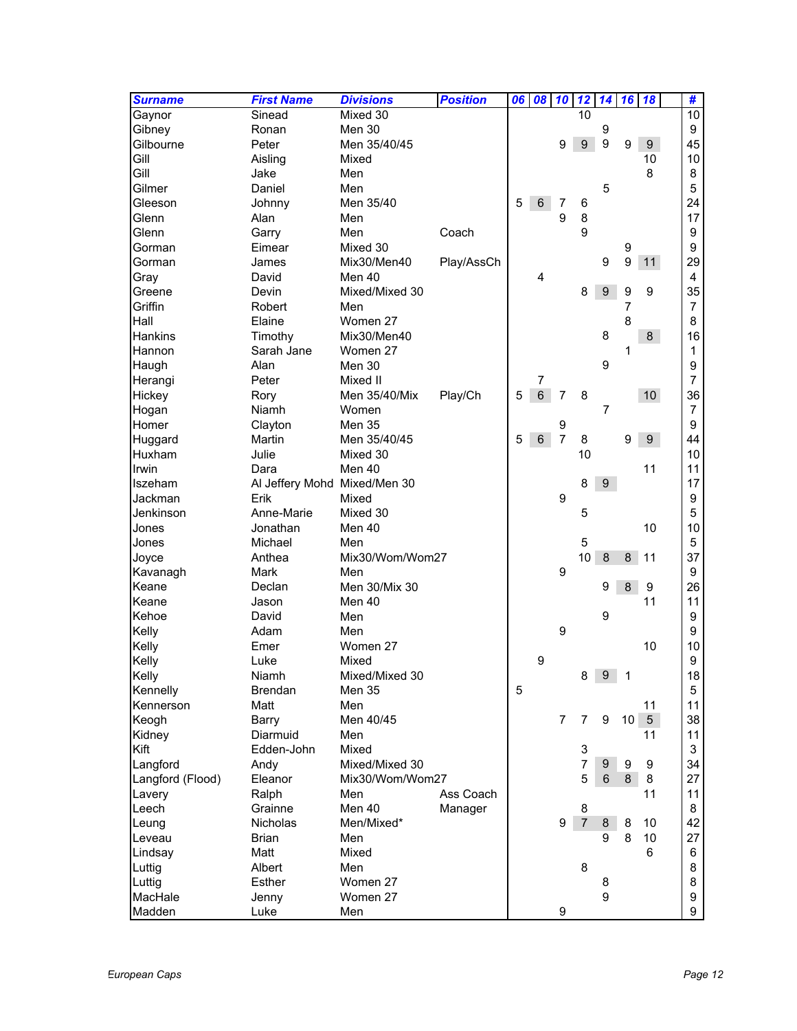| <b>Surname</b>   | <b>First Name</b>            | <b>Divisions</b> | <b>Position</b> | 06 | 08             | 10             | 12             | 14               | 16               | 18              | #              |                 |
|------------------|------------------------------|------------------|-----------------|----|----------------|----------------|----------------|------------------|------------------|-----------------|----------------|-----------------|
| Gaynor           | Sinead                       | Mixed 30         |                 |    |                |                | 10             |                  |                  |                 |                | $\overline{10}$ |
| Gibney           | Ronan                        | Men 30           |                 |    |                |                |                | 9                |                  |                 | 9              |                 |
| Gilbourne        | Peter                        | Men 35/40/45     |                 |    |                | 9              | 9              | 9                | 9                | 9 <sup>°</sup>  | 45             |                 |
| Gill             | Aisling                      | Mixed            |                 |    |                |                |                |                  |                  | 10              | 10             |                 |
| Gill             | Jake                         | Men              |                 |    |                |                |                |                  |                  | 8               | 8              |                 |
| Gilmer           | Daniel                       | Men              |                 |    |                |                |                | 5                |                  |                 | 5              |                 |
| Gleeson          | Johnny                       | Men 35/40        |                 | 5  | 6              | 7              | 6              |                  |                  |                 | 24             |                 |
| Glenn            | Alan                         | Men              |                 |    |                | 9              | 8              |                  |                  |                 | 17             |                 |
| Glenn            | Garry                        | Men              | Coach           |    |                |                | 9              |                  |                  |                 | 9              |                 |
| Gorman           | Eimear                       | Mixed 30         |                 |    |                |                |                |                  | 9                |                 | 9              |                 |
| Gorman           | James                        | Mix30/Men40      | Play/AssCh      |    |                |                |                | 9                | 9                | 11              | 29             |                 |
| Gray             | David                        | Men 40           |                 |    | 4              |                |                |                  |                  |                 | 4              |                 |
| Greene           | Devin                        | Mixed/Mixed 30   |                 |    |                |                | 8              | $\boldsymbol{9}$ | 9                | 9               | 35             |                 |
| Griffin          | Robert                       | Men              |                 |    |                |                |                |                  | 7                |                 |                | 7               |
| Hall             | Elaine                       | Women 27         |                 |    |                |                |                |                  | 8                |                 | 8              |                 |
| <b>Hankins</b>   | Timothy                      | Mix30/Men40      |                 |    |                |                |                | 8                |                  | 8               | 16             |                 |
| Hannon           | Sarah Jane                   | Women 27         |                 |    |                |                |                |                  | 1                |                 |                | 1               |
| Haugh            | Alan                         | Men 30           |                 |    |                |                |                | 9                |                  |                 | 9              |                 |
| Herangi          | Peter                        | Mixed II         |                 |    | $\overline{7}$ |                |                |                  |                  |                 | $\overline{7}$ |                 |
|                  |                              | Men 35/40/Mix    |                 | 5  | $6\phantom{1}$ | $\overline{7}$ | 8              |                  |                  | 10 <sup>°</sup> | 36             |                 |
| Hickey           | Rory<br>Niamh                | Women            | Play/Ch         |    |                |                |                | $\overline{7}$   |                  |                 | $\overline{7}$ |                 |
| Hogan            |                              |                  |                 |    |                |                |                |                  |                  |                 |                |                 |
| Homer            | Clayton                      | <b>Men 35</b>    |                 |    |                | 9              |                |                  |                  |                 | 9              |                 |
| Huggard          | Martin                       | Men 35/40/45     |                 | 5  | $6\phantom{1}$ | $\overline{7}$ | 8              |                  | 9                | 9 <sup>°</sup>  | 44             |                 |
| Huxham           | Julie                        | Mixed 30         |                 |    |                |                | 10             |                  |                  |                 | 10             |                 |
| Irwin            | Dara                         | Men 40           |                 |    |                |                |                |                  |                  | 11              | 11             |                 |
| <b>Iszeham</b>   | Al Jeffery Mohd Mixed/Men 30 |                  |                 |    |                |                | 8              | 9                |                  |                 | 17             |                 |
| Jackman          | Erik                         | Mixed            |                 |    |                | 9              |                |                  |                  |                 | 9              |                 |
| Jenkinson        | Anne-Marie                   | Mixed 30         |                 |    |                |                | 5              |                  |                  |                 | 5              |                 |
| Jones            | Jonathan                     | Men 40           |                 |    |                |                |                |                  |                  | 10              |                | 10              |
| Jones            | Michael                      | Men              |                 |    |                |                | 5              |                  |                  |                 | 5              |                 |
| Joyce            | Anthea                       | Mix30/Wom/Wom27  |                 |    |                |                | 10             | $\boldsymbol{8}$ | $\bf 8$          | 11              | 37             |                 |
| Kavanagh         | <b>Mark</b>                  | Men              |                 |    |                | 9              |                |                  |                  |                 | 9              |                 |
| Keane            | Declan                       | Men 30/Mix 30    |                 |    |                |                |                | 9                | 8                | 9               | 26             |                 |
| Keane            | Jason                        | Men 40           |                 |    |                |                |                |                  |                  | 11              |                | 11              |
| Kehoe            | David                        | Men              |                 |    |                |                |                | 9                |                  |                 | 9              |                 |
| Kelly            | Adam                         | Men              |                 |    |                | 9              |                |                  |                  |                 | 9              |                 |
| Kelly            | Emer                         | Women 27         |                 |    |                |                |                |                  |                  | 10              |                | 10              |
| Kelly            | Luke                         | Mixed            |                 |    | 9              |                |                |                  |                  |                 |                | 9               |
| Kelly            | Niamh                        | Mixed/Mixed 30   |                 |    |                |                | 8              | 9 <sup>1</sup>   | 1                |                 |                | 18              |
| Kennelly         | <b>Brendan</b>               | Men 35           |                 | 5  |                |                |                |                  |                  |                 |                | 5               |
| Kennerson        | Matt                         | Men              |                 |    |                |                |                |                  |                  | 11              |                | 11              |
| Keogh            | Barry                        | Men 40/45        |                 |    |                | $\overline{7}$ | $\overline{7}$ | 9                | 10 <sub>1</sub>  | $5\overline{)}$ |                | 38              |
| Kidney           | Diarmuid                     | Men              |                 |    |                |                |                |                  |                  | 11              |                | 11              |
| Kift             | Edden-John                   | Mixed            |                 |    |                |                | 3              |                  |                  |                 | 3              |                 |
| Langford         | Andy                         | Mixed/Mixed 30   |                 |    |                |                | $\overline{7}$ | 9                | $\boldsymbol{9}$ | 9               |                | 34              |
| Langford (Flood) | Eleanor                      | Mix30/Wom/Wom27  |                 |    |                |                | 5              | 6                | 8                | 8               | 27             |                 |
| Lavery           | Ralph                        | Men              | Ass Coach       |    |                |                |                |                  |                  | 11              |                | 11              |
| Leech            | Grainne                      | Men 40           | Manager         |    |                |                | 8              |                  |                  |                 | 8              |                 |
| Leung            | <b>Nicholas</b>              | Men/Mixed*       |                 |    |                | 9              | $\overline{7}$ | 8                | 8                | 10              | 42             |                 |
| Leveau           | <b>Brian</b>                 | Men              |                 |    |                |                |                | 9                | 8                | 10              | 27             |                 |
| Lindsay          | Matt                         | Mixed            |                 |    |                |                |                |                  |                  | 6               | 6              |                 |
| Luttig           | Albert                       | Men              |                 |    |                |                | 8              |                  |                  |                 | 8              |                 |
| Luttig           | Esther                       | Women 27         |                 |    |                |                |                | 8                |                  |                 | 8              |                 |
| MacHale          | Jenny                        | Women 27         |                 |    |                |                |                | 9                |                  |                 | 9              |                 |
| Madden           | Luke                         | Men              |                 |    |                | 9              |                |                  |                  |                 |                | 9               |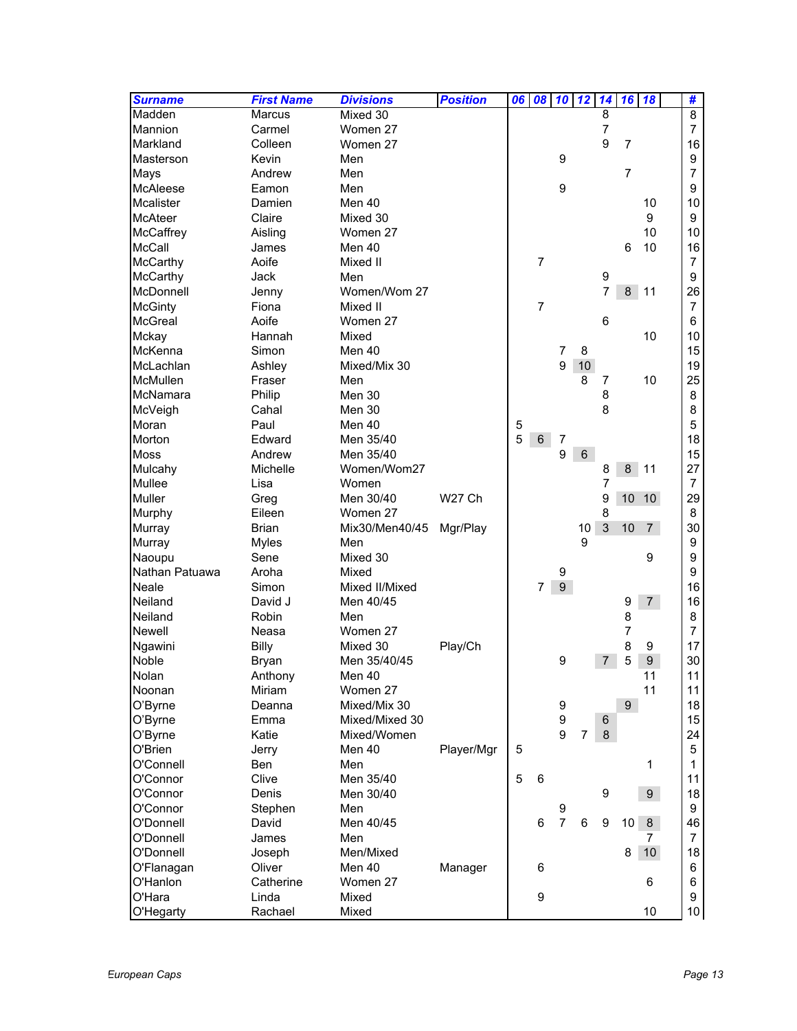| <b>Surname</b>  | <b>First Name</b> | <b>Divisions</b> | <b>Position</b> | 06 | 08             | $10$ $12$        |                | 14               | 16              | 18               | #               |
|-----------------|-------------------|------------------|-----------------|----|----------------|------------------|----------------|------------------|-----------------|------------------|-----------------|
| Madden          | <b>Marcus</b>     | Mixed 30         |                 |    |                |                  |                | 8                |                 |                  | $\overline{8}$  |
| Mannion         | Carmel            | Women 27         |                 |    |                |                  |                | $\overline{7}$   |                 |                  | $\overline{7}$  |
| Markland        | Colleen           | Women 27         |                 |    |                |                  |                | 9                | $\overline{7}$  |                  | 16              |
| Masterson       | Kevin             | Men              |                 |    |                | 9                |                |                  |                 |                  | 9               |
| Mays            | Andrew            | Men              |                 |    |                |                  |                |                  | $\overline{7}$  |                  | 7               |
| <b>McAleese</b> | Eamon             | Men              |                 |    |                | $\boldsymbol{9}$ |                |                  |                 |                  | 9               |
| Mcalister       | Damien            | Men 40           |                 |    |                |                  |                |                  |                 | 10               | 10              |
| <b>McAteer</b>  | Claire            | Mixed 30         |                 |    |                |                  |                |                  |                 | 9                | 9               |
| McCaffrey       | Aisling           | Women 27         |                 |    |                |                  |                |                  |                 | 10               | 10              |
| McCall          | James             | Men 40           |                 |    |                |                  |                |                  | 6               | 10               | 16              |
| McCarthy        | Aoife             | Mixed II         |                 |    | $\overline{7}$ |                  |                |                  |                 |                  | $\overline{7}$  |
| McCarthy        | Jack              | Men              |                 |    |                |                  |                | 9                |                 |                  | 9               |
| McDonnell       | Jenny             | Women/Wom 27     |                 |    |                |                  |                | 7                | 8               | 11               | 26              |
| <b>McGinty</b>  | Fiona             | Mixed II         |                 |    | $\overline{7}$ |                  |                |                  |                 |                  | $\overline{7}$  |
| McGreal         | Aoife             | Women 27         |                 |    |                |                  |                | 6                |                 |                  | 6               |
| Mckay           | Hannah            | Mixed            |                 |    |                |                  |                |                  |                 | 10               | 10              |
| McKenna         | Simon             | Men 40           |                 |    |                | $\overline{7}$   | 8              |                  |                 |                  | 15              |
| McLachlan       | Ashley            | Mixed/Mix 30     |                 |    |                | 9                | $10$           |                  |                 |                  | 19              |
| McMullen        | Fraser            | Men              |                 |    |                |                  | 8              | 7                |                 | 10               | 25              |
| McNamara        | Philip            | Men 30           |                 |    |                |                  |                | 8                |                 |                  | 8               |
| McVeigh         | Cahal             | Men 30           |                 |    |                |                  |                | 8                |                 |                  | 8               |
| Moran           | Paul              | Men 40           |                 | 5  |                |                  |                |                  |                 |                  | 5               |
| Morton          | Edward            | Men 35/40        |                 | 5  | $\,6\,$        | $\overline{7}$   |                |                  |                 |                  | 18              |
| <b>Moss</b>     | Andrew            | Men 35/40        |                 |    |                | 9                | 6              |                  |                 |                  | 15              |
| Mulcahy         | Michelle          | Women/Wom27      |                 |    |                |                  |                | 8                | 8               | 11               | 27              |
| Mullee          | Lisa              | Women            |                 |    |                |                  |                | $\overline{7}$   |                 |                  | $\overline{7}$  |
| Muller          | Greg              | Men 30/40        | W27 Ch          |    |                |                  |                | 9                | $10$            | 10               | 29              |
| Murphy          | Eileen            | Women 27         |                 |    |                |                  |                | 8                |                 |                  | 8               |
| Murray          | <b>Brian</b>      | Mix30/Men40/45   | Mgr/Play        |    |                |                  | 10             | 3                | 10              | $\overline{7}$   | 30              |
| Murray          | <b>Myles</b>      | Men              |                 |    |                |                  | 9              |                  |                 |                  | 9               |
| Naoupu          | Sene              | Mixed 30         |                 |    |                |                  |                |                  |                 | 9                | 9               |
| Nathan Patuawa  | Aroha             | Mixed            |                 |    |                | 9                |                |                  |                 |                  | 9               |
| Neale           | Simon             | Mixed II/Mixed   |                 |    | 7              | 9 <sup>°</sup>   |                |                  |                 |                  | 16              |
| Neiland         | David J           | Men 40/45        |                 |    |                |                  |                |                  | 9               | 7 <sup>7</sup>   | 16              |
| Neiland         | Robin             | Men              |                 |    |                |                  |                |                  | 8               |                  | 8               |
| Newell          | Neasa             | Women 27         |                 |    |                |                  |                |                  | 7               |                  | $\overline{7}$  |
| Ngawini         | <b>Billy</b>      | Mixed 30         | Play/Ch         |    |                |                  |                |                  | 8               | 9                | 17              |
| Noble           | <b>Bryan</b>      | Men 35/40/45     |                 |    |                | 9                |                | 7                | 5               | $\boldsymbol{9}$ | 30              |
| Nolan           | Anthony           | Men 40           |                 |    |                |                  |                |                  |                 | 11               | 11              |
| Noonan          | Miriam            | Women 27         |                 |    |                |                  |                |                  |                 | 11               | 11              |
| O'Byrne         | Deanna            | Mixed/Mix 30     |                 |    |                | 9                |                |                  | $9\phantom{.0}$ |                  | 18              |
| O'Byrne         | Emma              | Mixed/Mixed 30   |                 |    |                | 9                |                | 6                |                 |                  | 15              |
| O'Byrne         | Katie             | Mixed/Women      |                 |    |                | 9                | $\overline{7}$ | $\bf 8$          |                 |                  | 24              |
| O'Brien         | Jerry             | Men 40           | Player/Mgr      | 5  |                |                  |                |                  |                 |                  | 5               |
| O'Connell       | Ben               | Men              |                 |    |                |                  |                |                  |                 | 1                | 1               |
| O'Connor        | Clive             | Men 35/40        |                 | 5  | $\,6\,$        |                  |                |                  |                 |                  | 11              |
| O'Connor        | Denis             | Men 30/40        |                 |    |                |                  |                | 9                |                 | 9 <sup>°</sup>   | 18              |
| O'Connor        | Stephen           | Men              |                 |    |                | 9                |                |                  |                 |                  | 9               |
| O'Donnell       | David             | Men 40/45        |                 |    | 6              | $\overline{7}$   | $\,6\,$        | $\boldsymbol{9}$ | 10              | 8 <sup>°</sup>   | 46              |
| O'Donnell       | James             | Men              |                 |    |                |                  |                |                  |                 | 7                | $\overline{7}$  |
| O'Donnell       | Joseph            | Men/Mixed        |                 |    |                |                  |                |                  | 8               | 10               | 18              |
| O'Flanagan      | Oliver            | Men 40           | Manager         |    | 6              |                  |                |                  |                 |                  | 6               |
| O'Hanlon        | Catherine         | Women 27         |                 |    |                |                  |                |                  |                 | 6                | 6               |
| O'Hara          | Linda             | Mixed            |                 |    | 9              |                  |                |                  |                 |                  | 9               |
| O'Hegarty       | Rachael           | Mixed            |                 |    |                |                  |                |                  |                 | 10               | 10 <sub>1</sub> |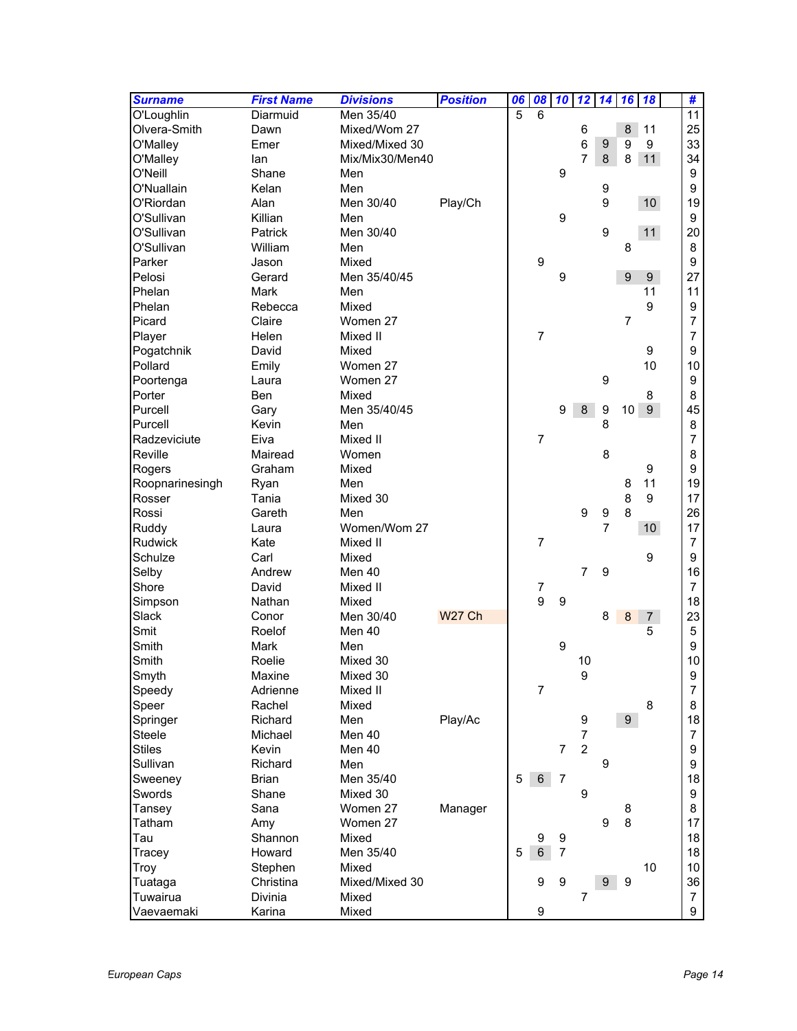| <b>Surname</b>  | <b>First Name</b> | <b>Divisions</b> | <b>Position</b> | 06             | 08             | 10               | 12               | $\overline{14}$  | 16               | 18              | #              |
|-----------------|-------------------|------------------|-----------------|----------------|----------------|------------------|------------------|------------------|------------------|-----------------|----------------|
| O'Loughlin      | Diarmuid          | Men 35/40        |                 | $\overline{5}$ | 6              |                  |                  |                  |                  |                 | 11             |
| Olvera-Smith    | Dawn              | Mixed/Wom 27     |                 |                |                |                  | 6                |                  | 8                | 11              | 25             |
| O'Malley        | Emer              | Mixed/Mixed 30   |                 |                |                |                  | 6                | 9                | 9                | 9               | 33             |
| O'Malley        | lan               | Mix/Mix30/Men40  |                 |                |                |                  | 7                | 8                | 8                | 11              | 34             |
| O'Neill         | Shane             | Men              |                 |                |                | 9                |                  |                  |                  |                 | 9              |
| O'Nuallain      | Kelan             | Men              |                 |                |                |                  |                  | 9                |                  |                 | 9              |
| O'Riordan       | Alan              | Men 30/40        | Play/Ch         |                |                |                  |                  | 9                |                  | 10 <sup>°</sup> | 19             |
| O'Sullivan      | Killian           | Men              |                 |                |                | 9                |                  |                  |                  |                 | 9              |
| O'Sullivan      | Patrick           | Men 30/40        |                 |                |                |                  |                  | 9                |                  | 11              | 20             |
| O'Sullivan      | William           | Men              |                 |                |                |                  |                  |                  | 8                |                 | 8              |
| Parker          | Jason             | Mixed            |                 |                | 9              |                  |                  |                  |                  |                 | 9              |
| Pelosi          | Gerard            | Men 35/40/45     |                 |                |                | 9                |                  |                  | $\boldsymbol{9}$ | $9\,$           | 27             |
| Phelan          | <b>Mark</b>       | Men              |                 |                |                |                  |                  |                  |                  | 11              | 11             |
| Phelan          | Rebecca           | Mixed            |                 |                |                |                  |                  |                  |                  | 9               | 9              |
| Picard          | Claire            | Women 27         |                 |                |                |                  |                  |                  | $\overline{7}$   |                 | 7              |
| Player          | Helen             | Mixed II         |                 |                | $\overline{7}$ |                  |                  |                  |                  |                 | 7              |
| Pogatchnik      | David             | Mixed            |                 |                |                |                  |                  |                  |                  | 9               | 9              |
| Pollard         | Emily             | Women 27         |                 |                |                |                  |                  |                  |                  | 10              | 10             |
| Poortenga       | Laura             | Women 27         |                 |                |                |                  |                  | 9                |                  |                 | 9              |
| Porter          | Ben               | Mixed            |                 |                |                |                  |                  |                  |                  | 8               | 8              |
| Purcell         | Gary              | Men 35/40/45     |                 |                |                | 9                | $\bf 8$          | $\boldsymbol{9}$ | 10               | 9 <sup>°</sup>  | 45             |
| Purcell         | Kevin             | Men              |                 |                |                |                  |                  | 8                |                  |                 | 8              |
| Radzeviciute    | Eiva              | Mixed II         |                 |                | $\overline{7}$ |                  |                  |                  |                  |                 | 7              |
| Reville         | Mairead           | Women            |                 |                |                |                  |                  | 8                |                  |                 | 8              |
| Rogers          | Graham            | Mixed            |                 |                |                |                  |                  |                  |                  | 9               | 9              |
| Roopnarinesingh | Ryan              | Men              |                 |                |                |                  |                  |                  | 8                | 11              | 19             |
| Rosser          | Tania             | Mixed 30         |                 |                |                |                  |                  |                  | 8                | 9               | 17             |
| Rossi           | Gareth            | Men              |                 |                |                |                  | $\boldsymbol{9}$ | 9                | 8                |                 | 26             |
| Ruddy           | Laura             | Women/Wom 27     |                 |                |                |                  |                  | $\overline{7}$   |                  | 10 <sup>°</sup> | 17             |
| <b>Rudwick</b>  | Kate              | Mixed II         |                 |                | $\overline{7}$ |                  |                  |                  |                  |                 | $\overline{7}$ |
| Schulze         | Carl              | Mixed            |                 |                |                |                  |                  |                  |                  | 9               | 9              |
| Selby           | Andrew            | Men 40           |                 |                |                |                  | $\overline{7}$   | 9                |                  |                 | 16             |
| Shore           | David             | Mixed II         |                 |                | 7              |                  |                  |                  |                  |                 | $\overline{7}$ |
| Simpson         | Nathan            | Mixed            |                 |                | 9              | $\boldsymbol{9}$ |                  |                  |                  |                 | 18             |
| Slack           | Conor             | Men 30/40        | <b>W27 Ch</b>   |                |                |                  |                  | 8                | 8                | $\overline{7}$  | 23             |
| Smit            | Roelof            | Men 40           |                 |                |                |                  |                  |                  |                  | 5               | 5              |
| Smith           | <b>Mark</b>       | Men              |                 |                |                | 9                |                  |                  |                  |                 | 9              |
| Smith           | Roelie            | Mixed 30         |                 |                |                |                  | 10               |                  |                  |                 | 10             |
| Smyth           | Maxine            | Mixed 30         |                 |                |                |                  | 9                |                  |                  |                 | 9              |
| Speedy          | Adrienne          | Mixed II         |                 |                | $\overline{7}$ |                  |                  |                  |                  |                 | 7              |
| Speer           | Rachel            | Mixed            |                 |                |                |                  |                  |                  |                  | 8               | 8              |
| Springer        | Richard           | Men              |                 |                |                |                  |                  |                  | 9 <sup>°</sup>   |                 | 18             |
| Steele          | Michael           | Men 40           | Play/Ac         |                |                |                  | 9<br>7           |                  |                  |                 | $\overline{7}$ |
| <b>Stiles</b>   | Kevin             | Men 40           |                 |                |                | $\overline{7}$   | $\overline{c}$   |                  |                  |                 | 9              |
| Sullivan        | Richard           | Men              |                 |                |                |                  |                  | 9                |                  |                 | 9              |
|                 |                   |                  |                 | 5              | $\,6\,$        |                  |                  |                  |                  |                 |                |
| Sweeney         | <b>Brian</b>      | Men 35/40        |                 |                |                | $\overline{7}$   |                  |                  |                  |                 | 18             |
| Swords          | Shane             | Mixed 30         |                 |                |                |                  | 9                |                  |                  |                 | 9              |
| Tansey          | Sana              | Women 27         | Manager         |                |                |                  |                  |                  | 8                |                 | 8              |
| Tatham          | Amy               | Women 27         |                 |                |                |                  |                  | 9                | 8                |                 | 17             |
| Tau             | Shannon           | Mixed            |                 |                | 9              | 9                |                  |                  |                  |                 | 18             |
| Tracey          | Howard            | Men 35/40        |                 | 5              | $\,6\,$        | 7                |                  |                  |                  |                 | 18             |
| Troy            | Stephen           | Mixed            |                 |                |                |                  |                  |                  |                  | 10              | 10             |
| Tuataga         | Christina         | Mixed/Mixed 30   |                 |                | 9              | 9                |                  | 9                | 9                |                 | 36             |
| Tuwairua        | Divinia           | Mixed            |                 |                |                |                  | 7                |                  |                  |                 | $\overline{7}$ |
| Vaevaemaki      | Karina            | Mixed            |                 |                | 9              |                  |                  |                  |                  |                 | 9              |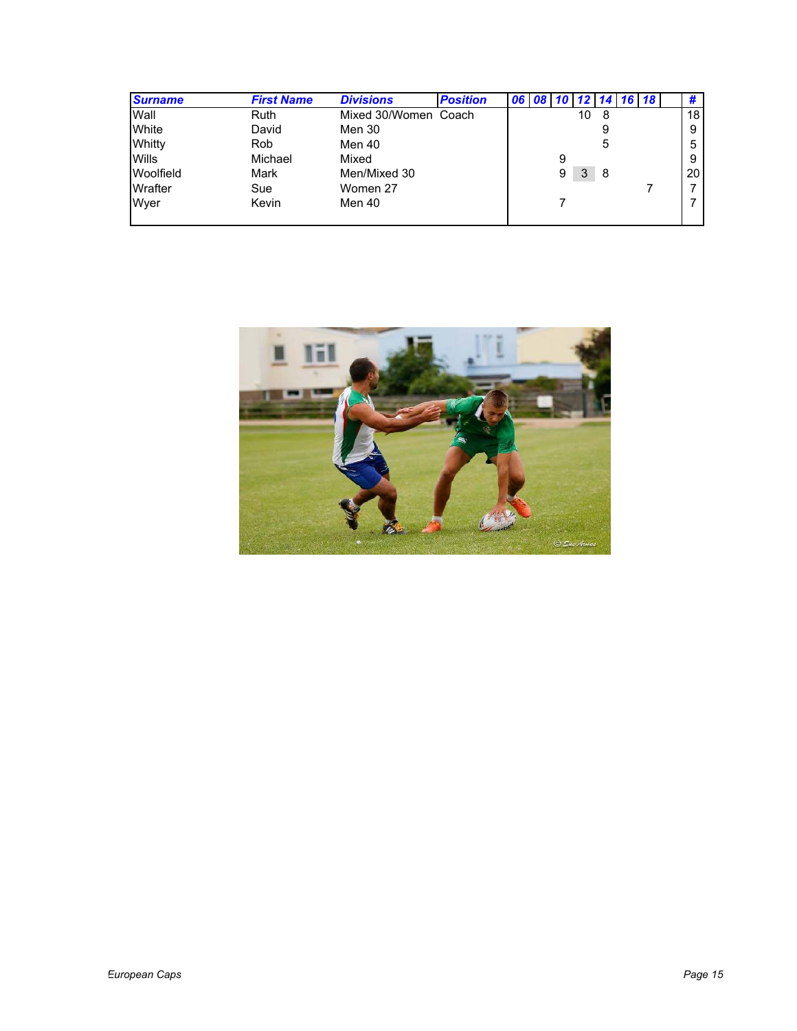| <b>Surname</b> | <b>First Name</b> | <b>Divisions</b>     | <b>Position</b> | 06 l |   |    |    | $10$ 12 14 16 18 |    |
|----------------|-------------------|----------------------|-----------------|------|---|----|----|------------------|----|
| Wall           | <b>Ruth</b>       | Mixed 30/Women Coach |                 |      |   | 10 | -8 |                  | 18 |
| White          | David             | Men 30               |                 |      |   |    | 9  |                  | 9  |
| Whitty         | Rob               | Men 40               |                 |      |   |    | 5  |                  | 5  |
| <b>Wills</b>   | Michael           | Mixed                |                 |      | 9 |    |    |                  | 9  |
| Woolfield      | Mark              | Men/Mixed 30         |                 |      | 9 | 3  | -8 |                  | 20 |
| Wrafter        | Sue               | Women 27             |                 |      |   |    |    |                  |    |
| Wyer           | Kevin             | Men 40               |                 |      |   |    |    |                  |    |
|                |                   |                      |                 |      |   |    |    |                  |    |

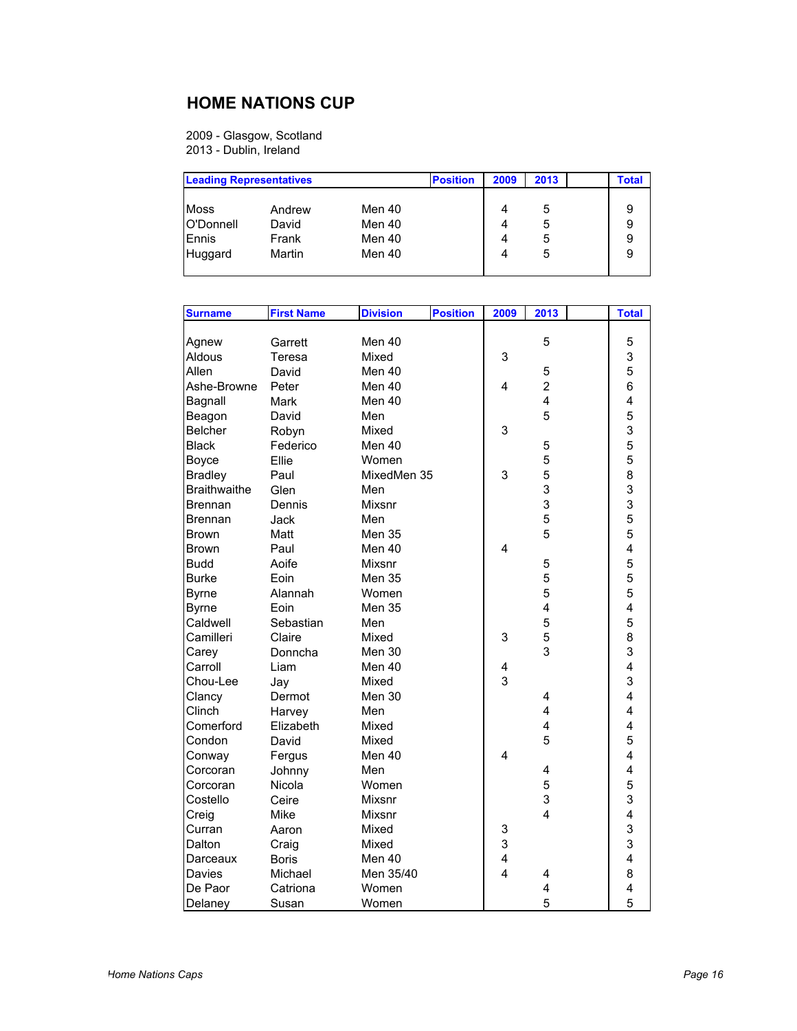#### **HOME NATIONS CUP**

2009 - Glasgow, Scotland 2013 - Dublin, Ireland

| <b>Leading Representatives</b>               |                                    |                                      | <b>Position</b> | 2009        | 2013             | <b>Total</b> |
|----------------------------------------------|------------------------------------|--------------------------------------|-----------------|-------------|------------------|--------------|
| <b>Moss</b><br>O'Donnell<br>Ennis<br>Huggard | Andrew<br>David<br>Frank<br>Martin | Men 40<br>Men 40<br>Men 40<br>Men 40 |                 | 4<br>4<br>4 | 5<br>5<br>5<br>5 | 9            |

| <b>Surname</b>      | <b>First Name</b> | <b>Division</b> | <b>Position</b> | 2009                    | 2013           | <b>Total</b> |
|---------------------|-------------------|-----------------|-----------------|-------------------------|----------------|--------------|
|                     |                   |                 |                 |                         |                |              |
| Agnew               | Garrett           | Men 40          |                 |                         | 5              | 5            |
| Aldous              | Teresa            | Mixed           |                 | 3                       |                | 3            |
| Allen               | David             | Men 40          |                 |                         | 5              | 5            |
| Ashe-Browne         | Peter             | Men 40          |                 | $\overline{4}$          | $\overline{c}$ | 6            |
| Bagnall             | Mark              | Men 40          |                 |                         | 4              | 4            |
| Beagon              | David             | Men             |                 |                         | 5              | 5            |
| <b>Belcher</b>      | Robyn             | Mixed           |                 | 3                       |                | 3            |
| Black               | Federico          | Men 40          |                 |                         | 5              | 5            |
| Boyce               | Ellie             | Women           |                 |                         | 5              | 5            |
| <b>Bradley</b>      | Paul              | MixedMen 35     |                 | 3                       | 5              | 8            |
| <b>Braithwaithe</b> | Glen              | Men             |                 |                         | 3              | 3            |
| Brennan             | Dennis            | Mixsnr          |                 |                         | 3              | 3            |
| Brennan             | Jack              | Men             |                 |                         | 5              | 5            |
| Brown               | Matt              | Men 35          |                 |                         | 5              | 5            |
| Brown               | Paul              | Men 40          |                 | 4                       |                | 4            |
| <b>Budd</b>         | Aoife             | Mixsnr          |                 |                         | 5              | 5            |
| Burke               | Eoin              | <b>Men 35</b>   |                 |                         | 5              | 5            |
| <b>Byrne</b>        | Alannah           | Women           |                 |                         | 5              | 5            |
| <b>Byrne</b>        | Eoin              | Men 35          |                 |                         | 4              | 4            |
| Caldwell            | Sebastian         | Men             |                 |                         | 5              | 5            |
| Camilleri           | Claire            | Mixed           |                 | 3                       | 5              | 8            |
| Carey               | Donncha           | Men 30          |                 |                         | 3              | 3            |
| Carroll             | Liam              | Men 40          |                 | $\overline{\mathbf{4}}$ |                | 4            |
| Chou-Lee            | Jay               | Mixed           |                 | 3                       |                | 3            |
| Clancy              | Dermot            | Men 30          |                 |                         | 4              | 4            |
| Clinch              | Harvey            | Men             |                 |                         | 4              | 4            |
| Comerford           | Elizabeth         | Mixed           |                 |                         | 4              | 4            |
| Condon              | David             | Mixed           |                 |                         | 5              | 5            |
| Conway              | Fergus            | Men 40          |                 | 4                       |                | 4            |
| Corcoran            | Johnny            | Men             |                 |                         | 4              | 4            |
| Corcoran            | Nicola            | Women           |                 |                         | 5              | 5            |
| Costello            | Ceire             | Mixsnr          |                 |                         | 3              | 3            |
| Creig               | Mike              | Mixsnr          |                 |                         | 4              | 4            |
| Curran              | Aaron             | Mixed           |                 | 3                       |                | 3            |
| Dalton              | Craig             | Mixed           |                 | 3                       |                | 3            |
| Darceaux            | <b>Boris</b>      | Men 40          |                 | $\overline{\mathbf{4}}$ |                | 4            |
| Davies              | Michael           | Men 35/40       |                 | $\overline{4}$          | 4              | 8            |
| De Paor             | Catriona          | Women           |                 |                         | 4              | 4            |
| Delaney             | Susan             | Women           |                 |                         | 5              | 5            |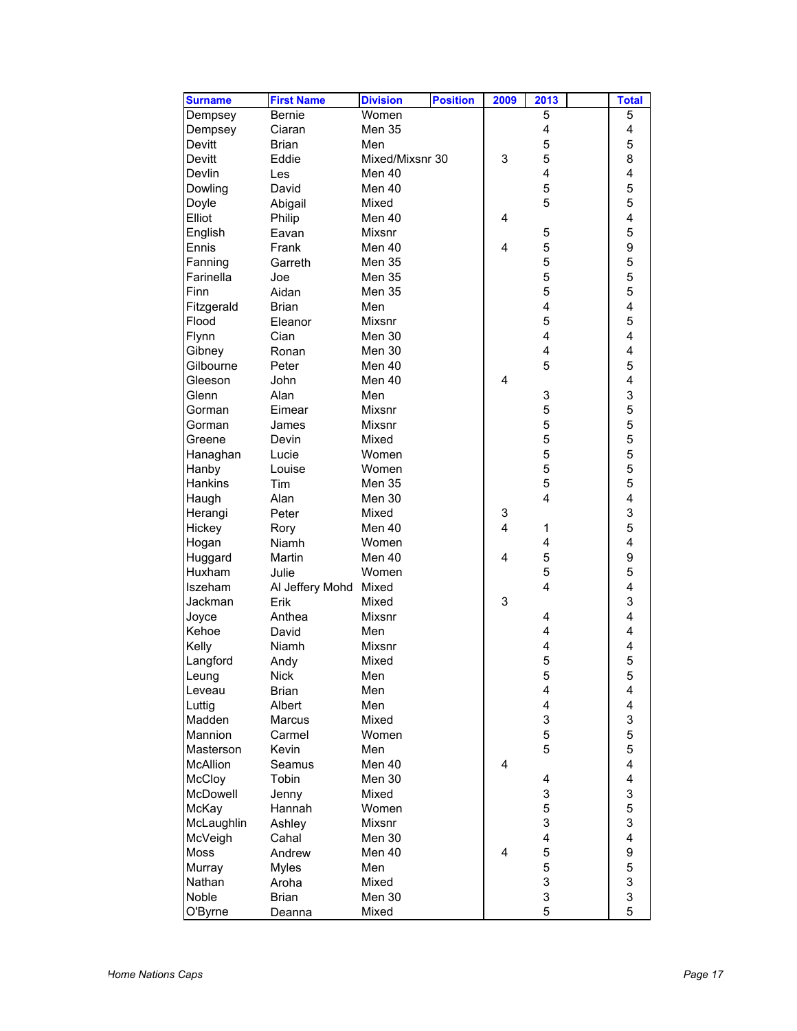| <b>Surname</b> | <b>First Name</b> | <b>Division</b> | <b>Position</b> | 2009                    | 2013 | <b>Total</b>                 |
|----------------|-------------------|-----------------|-----------------|-------------------------|------|------------------------------|
| Dempsey        | <b>Bernie</b>     | Women           |                 |                         | 5    | 5                            |
| Dempsey        | Ciaran            | Men 35          |                 |                         | 4    | 4                            |
| Devitt         | <b>Brian</b>      | Men             |                 |                         | 5    | 5                            |
| Devitt         | Eddie             | Mixed/Mixsnr 30 |                 | 3                       | 5    | 8                            |
| Devlin         | Les               | Men 40          |                 |                         | 4    | 4                            |
| Dowling        | David             | Men 40          |                 |                         | 5    | 5                            |
| Doyle          | Abigail           | Mixed           |                 |                         | 5    | 5                            |
| Elliot         | Philip            | Men 40          |                 | 4                       |      | 4                            |
| English        | Eavan             | <b>Mixsnr</b>   |                 |                         | 5    | 5                            |
| Ennis          | Frank             | Men 40          |                 | $\overline{\mathbf{4}}$ | 5    | 9                            |
| Fanning        | Garreth           | Men 35          |                 |                         | 5    | 5                            |
| Farinella      | Joe               | Men 35          |                 |                         | 5    | 5                            |
| Finn           | Aidan             | Men 35          |                 |                         | 5    | 5                            |
| Fitzgerald     | <b>Brian</b>      | Men             |                 |                         | 4    | 4                            |
| Flood          | Eleanor           | <b>Mixsnr</b>   |                 |                         | 5    | 5                            |
| Flynn          | Cian              | <b>Men 30</b>   |                 |                         | 4    | 4                            |
|                |                   | Men 30          |                 |                         | 4    | 4                            |
| Gibney         | Ronan             | Men 40          |                 |                         |      |                              |
| Gilbourne      | Peter             |                 |                 |                         | 5    | 5<br>$\overline{\mathbf{4}}$ |
| Gleeson        | John              | Men 40          |                 | 4                       |      |                              |
| Glenn          | Alan              | Men             |                 |                         | 3    | 3                            |
| Gorman         | Eimear            | Mixsnr          |                 |                         | 5    | 5                            |
| Gorman         | James             | Mixsnr          |                 |                         | 5    | 5                            |
| Greene         | Devin             | Mixed           |                 |                         | 5    | 5                            |
| Hanaghan       | Lucie             | Women           |                 |                         | 5    | 5                            |
| Hanby          | Louise            | Women           |                 |                         | 5    | 5                            |
| Hankins        | Tim               | <b>Men 35</b>   |                 |                         | 5    | 5                            |
| Haugh          | Alan              | Men 30          |                 |                         | 4    | $\overline{\mathbf{4}}$      |
| Herangi        | Peter             | Mixed           |                 | 3                       |      | 3                            |
| Hickey         | Rory              | Men 40          |                 | $\overline{\mathbf{4}}$ | 1    | 5                            |
| Hogan          | Niamh             | Women           |                 |                         | 4    | $\overline{\mathbf{4}}$      |
| Huggard        | Martin            | Men 40          |                 | 4                       | 5    | 9                            |
| Huxham         | Julie             | Women           |                 |                         | 5    | 5                            |
| Iszeham        | Al Jeffery Mohd   | Mixed           |                 |                         | 4    | 4                            |
| Jackman        | Erik              | Mixed           |                 | 3                       |      | 3                            |
| Joyce          | Anthea            | Mixsnr          |                 |                         | 4    | 4                            |
| Kehoe          | David             | Men             |                 |                         | 4    | 4                            |
| Kelly          | Niamh             | Mixsnr          |                 |                         | 4    | 4                            |
| Langford       | Andy              | Mixed           |                 |                         | 5    | 5                            |
| Leung          | <b>Nick</b>       | Men             |                 |                         | 5    | 5                            |
| Leveau         | <b>Brian</b>      | Men             |                 |                         | 4    | 4                            |
| Luttig         | Albert            | Men             |                 |                         | 4    | 4                            |
| Madden         | Marcus            | Mixed           |                 |                         | 3    | 3                            |
| Mannion        | Carmel            | Women           |                 |                         | 5    | 5                            |
| Masterson      | Kevin             | Men             |                 |                         | 5    | 5                            |
| McAllion       | Seamus            | Men 40          |                 | 4                       |      | $\overline{\mathbf{4}}$      |
| McCloy         | Tobin             | Men 30          |                 |                         | 4    | $\overline{\mathbf{4}}$      |
| McDowell       | Jenny             | Mixed           |                 |                         | 3    | 3                            |
| McKay          | Hannah            | Women           |                 |                         | 5    | 5                            |
| McLaughlin     | Ashley            | Mixsnr          |                 |                         | 3    | 3                            |
| McVeigh        | Cahal             | Men 30          |                 |                         | 4    | 4                            |
| Moss           | Andrew            | Men 40          |                 | 4                       | 5    | 9                            |
| Murray         | <b>Myles</b>      | Men             |                 |                         | 5    | 5                            |
| Nathan         | Aroha             | Mixed           |                 |                         | 3    | 3                            |
| Noble          | <b>Brian</b>      | Men 30          |                 |                         | 3    | 3                            |
| O'Byrne        | Deanna            | Mixed           |                 |                         | 5    | 5                            |
|                |                   |                 |                 |                         |      |                              |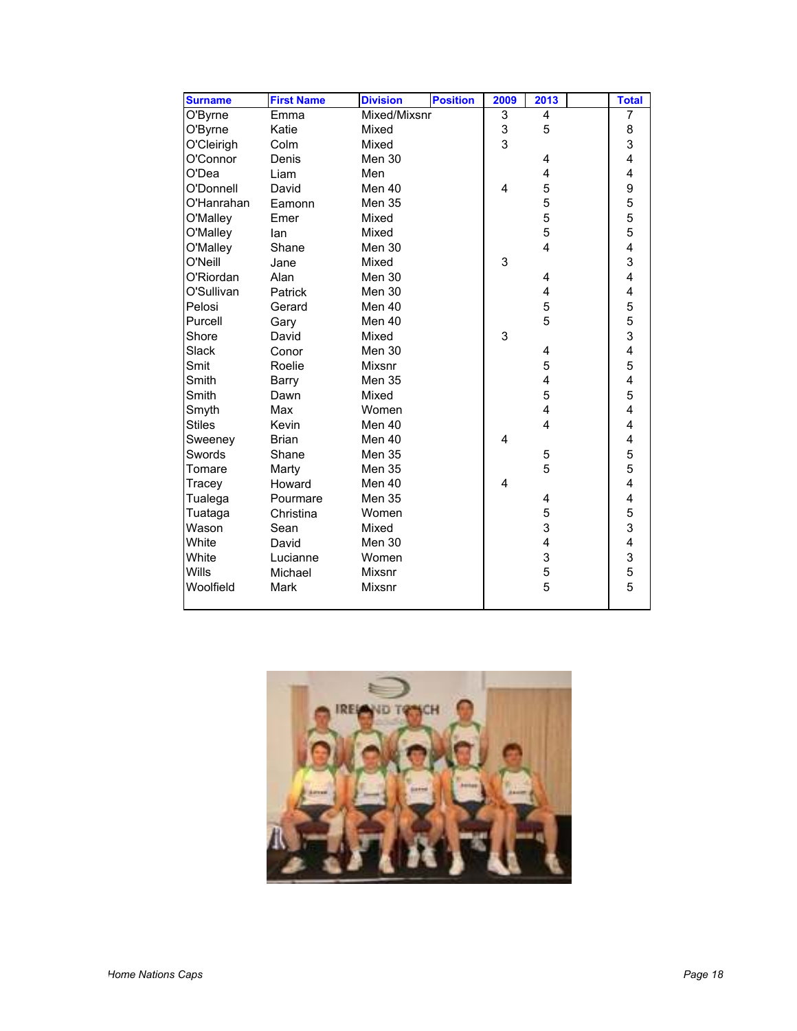| <b>Surname</b> | <b>First Name</b> | <b>Division</b> | <b>Position</b> | 2009 | 2013                    | <b>Total</b>            |
|----------------|-------------------|-----------------|-----------------|------|-------------------------|-------------------------|
| O'Byrne        | Emma              | Mixed/Mixsnr    |                 | 3    | 4                       | 7                       |
| O'Byrne        | Katie             | Mixed           |                 | 3    | 5                       | 8                       |
| O'Cleirigh     | Colm              | Mixed           |                 | 3    |                         | 3                       |
| O'Connor       | Denis             | Men 30          |                 |      | 4                       | 4                       |
| O'Dea          | Liam              | Men             |                 |      | 4                       | 4                       |
| O'Donnell      | David             | Men 40          |                 | 4    | 5                       | 9                       |
| O'Hanrahan     | Eamonn            | <b>Men 35</b>   |                 |      | 5                       | 5                       |
| O'Malley       | Emer              | Mixed           |                 |      | 5                       | 5                       |
| O'Malley       | lan               | Mixed           |                 |      | 5                       | 5                       |
| O'Malley       | Shane             | Men 30          |                 |      | $\overline{\mathbf{4}}$ | 4                       |
| O'Neill        | Jane              | Mixed           |                 | 3    |                         | 3                       |
| O'Riordan      | Alan              | Men 30          |                 |      | 4                       | 4                       |
| O'Sullivan     | Patrick           | Men 30          |                 |      | 4                       | 4                       |
| Pelosi         | Gerard            | Men 40          |                 |      | 5                       | 5                       |
| Purcell        | Gary              | Men 40          |                 |      | 5                       | 5                       |
| Shore          | David             | Mixed           |                 | 3    |                         | 3                       |
| Slack          | Conor             | Men 30          |                 |      | 4                       | 4                       |
| Smit           | Roelie            | Mixsnr          |                 |      | 5                       | 5                       |
| Smith          | Barry             | Men 35          |                 |      | 4                       | 4                       |
| Smith          | Dawn              | Mixed           |                 |      | 5                       | 5                       |
| Smyth          | Max               | Women           |                 |      | 4                       | 4                       |
| <b>Stiles</b>  | Kevin             | Men 40          |                 |      | $\overline{\mathbf{4}}$ | $\overline{\mathbf{4}}$ |
| Sweeney        | <b>Brian</b>      | Men 40          |                 | 4    |                         | 4                       |
| Swords         | Shane             | Men 35          |                 |      | 5                       | 5                       |
| Tomare         | Marty             | <b>Men 35</b>   |                 |      | 5                       | 5                       |
| Tracey         | Howard            | Men 40          |                 | 4    |                         | 4                       |
| Tualega        | Pourmare          | Men 35          |                 |      | 4                       | $\overline{\mathbf{4}}$ |
| Tuataga        | Christina         | Women           |                 |      | 5                       | 5                       |
| Wason          | Sean              | Mixed           |                 |      | 3                       | $\overline{3}$          |
| White          | David             | Men 30          |                 |      | 4                       | $\overline{\mathbf{4}}$ |
| White          | Lucianne          | Women           |                 |      | 3                       | 3                       |
| Wills          | Michael           | <b>Mixsnr</b>   |                 |      | 5                       | 5                       |
| Woolfield      | Mark              | <b>Mixsnr</b>   |                 |      | 5                       | 5                       |
|                |                   |                 |                 |      |                         |                         |